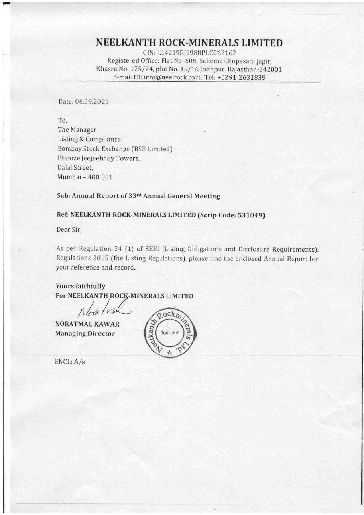## NEELKANTH ROCK-MINERALS LIMITED

CIN: L14219RJ1988PLC062162 Registered Office: Flat No. 606, Scheme Chopasani Jagir, Khasra No. 175/74, plot No. 15/16 Jodhpur, Rajasthan-342001 E-mail ID: info@neelrock.com; Tel: +0291-2631839

Date: 06.09.2021

To, The Manager Listing & Compliance Bombay Stock Exchange (BSE Limited) Phiroze Jeejeebhoy Towers, Dalal Street, Mumbai- 400 001

#### Sub: Annual Report of 33rd Annual General Meeting

#### Ref: NEELKANTH ROCK-MINERALS LIMITED (Scrip Code: 531049)

Dear Sir,

As per Regulation 34 (1) of SEBI (Listing Obligations and Disclosure Requirements), Regulations 2015 (the Listing Regulations), please find the enclosed Annual Report for your reference and record.

Yours faithfully For NEELKANTH ROCK-MINERALS LIMITED  $\prime$ ,  $\prime$ 

NORATMAL KAWAR Managing Director



ENCL: A/a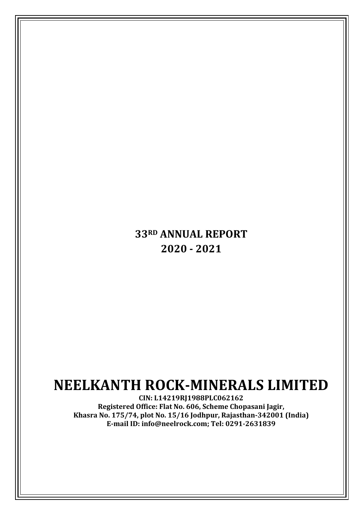# **33RD ANNUAL REPORT 2020 - 2021**

# **NEELKANTH ROCK-MINERALS LIMITED**

**CIN: L14219RJ1988PLC062162 Registered Office: Flat No. 606, Scheme Chopasani Jagir, Khasra No. 175/74, plot No. 15/16 Jodhpur, Rajasthan-342001 (India) E-mail ID: info@neelrock.com; Tel: 0291-2631839**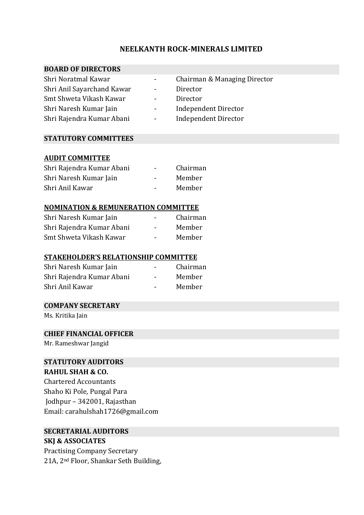### **NEELKANTH ROCK-MINERALS LIMITED**

#### **BOARD OF DIRECTORS**

- Shri Noratmal Kawar  **Chairman & Managing Director** Shri Anil Sayarchand Kawar - Director Smt Shweta Vikash Kawar - Director
	-
	-
	-
- Shri Naresh Kumar Jain Independent Director
- Shri Rajendra Kumar Abani Independent Director

#### **STATUTORY COMMITTEES**

#### **AUDIT COMMITTEE**

| Shri Rajendra Kumar Abani | $\sim$ | Chairman |
|---------------------------|--------|----------|
| Shri Naresh Kumar Jain    |        | Member   |
| Shri Anil Kawar           | $\sim$ | Member   |

#### **NOMINATION & REMUNERATION COMMITTEE**

| Shri Naresh Kumar Jain    | $\blacksquare$           | Chairman |
|---------------------------|--------------------------|----------|
| Shri Rajendra Kumar Abani | $\blacksquare$           | Member   |
| Smt Shweta Vikash Kawar   | $\overline{\phantom{0}}$ | Member   |

#### **STAKEHOLDER'S RELATIONSHIP COMMITTEE**

| Shri Naresh Kumar Jain    | $\overline{\phantom{a}}$ | Chairman |
|---------------------------|--------------------------|----------|
| Shri Rajendra Kumar Abani | $\sim$                   | Member   |
| Shri Anil Kawar           | $\sim$                   | Member   |

#### **COMPANY SECRETARY**

Ms. Kritika Jain

#### **CHIEF FINANCIAL OFFICER**

Mr. Rameshwar Jangid

#### **STATUTORY AUDITORS RAHUL SHAH & CO.**

Chartered Accountants Shaho Ki Pole, Pungal Para Jodhpur – 342001, Rajasthan Email: carahulshah1726@gmail.com

#### **SECRETARIAL AUDITORS SKJ & ASSOCIATES**

Practising Company Secretary 21A, 2nd Floor, Shankar Seth Building,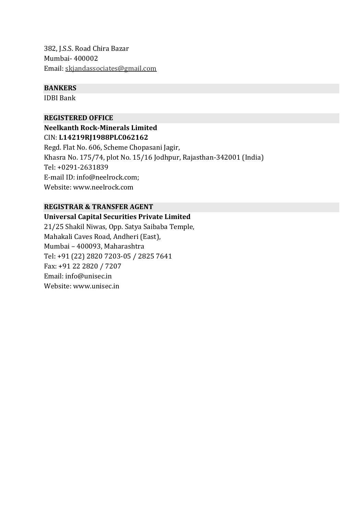382, J.S.S. Road Chira Bazar Mumbai- 400002 Email: [skjandassociates@gmail.com](mailto:skjandassociates@gmail.com)

#### **BANKERS**

IDBI Bank

#### **REGISTERED OFFICE**

### **Neelkanth Rock-Minerals Limited**  CIN: **L14219RJ1988PLC062162**

Regd. Flat No. 606, Scheme Chopasani Jagir, Khasra No. 175/74, plot No. 15/16 Jodhpur, Rajasthan-342001 (India) Tel: +0291-2631839 E-mail ID: info@neelrock.com; Website: www.neelrock.com

#### **REGISTRAR & TRANSFER AGENT**

#### **Universal Capital Securities Private Limited**

21/25 Shakil Niwas, Opp. Satya Saibaba Temple, Mahakali Caves Road, Andheri (East), Mumbai – 400093, Maharashtra Tel: +91 (22) 2820 7203-05 / 2825 7641 Fax: +91 22 2820 / 7207 Email: info@unisec.in Website: www.unisec.in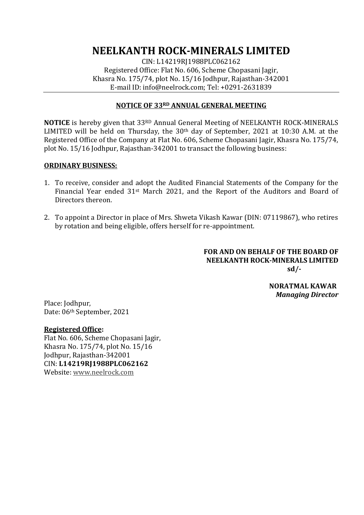# **NEELKANTH ROCK-MINERALS LIMITED**

CIN: L14219RJ1988PLC062162 Registered Office: Flat No. 606, Scheme Chopasani Jagir, Khasra No. 175/74, plot No. 15/16 Jodhpur, Rajasthan-342001 E-mail ID: info@neelrock.com; Tel: +0291-2631839

#### **NOTICE OF 33RD ANNUAL GENERAL MEETING**

**NOTICE** is hereby given that 33RD Annual General Meeting of NEELKANTH ROCK-MINERALS LIMITED will be held on Thursday, the 30<sup>th</sup> day of September, 2021 at 10:30 A.M. at the Registered Office of the Company at Flat No. 606, Scheme Chopasani Jagir, Khasra No. 175/74, plot No. 15/16 Jodhpur, Rajasthan-342001 to transact the following business:

#### **ORDINARY BUSINESS:**

- 1. To receive, consider and adopt the Audited Financial Statements of the Company for the Financial Year ended 31st March 2021, and the Report of the Auditors and Board of Directors thereon.
- 2. To appoint a Director in place of Mrs. Shweta Vikash Kawar (DIN: 07119867), who retires by rotation and being eligible, offers herself for re-appointment.

#### **FOR AND ON BEHALF OF THE BOARD OF NEELKANTH ROCK-MINERALS LIMITED sd/-**

**NORATMAL KAWAR**  *Managing Director* 

Place: Jodhpur, Date: 06th September, 2021

#### **Registered Office:**

Flat No. 606, Scheme Chopasani Jagir, Khasra No. 175/74, plot No. 15/16 Jodhpur, Rajasthan-342001 CIN: **L14219RJ1988PLC062162** Website[: www.neelrock.com](http://www.neelrock.com/)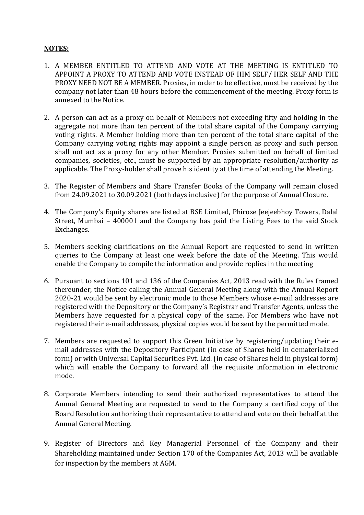#### **NOTES:**

- 1. A MEMBER ENTITLED TO ATTEND AND VOTE AT THE MEETING IS ENTITLED TO APPOINT A PROXY TO ATTEND AND VOTE INSTEAD OF HIM SELF/ HER SELF AND THE PROXY NEED NOT BE A MEMBER. Proxies, in order to be effective, must be received by the company not later than 48 hours before the commencement of the meeting. Proxy form is annexed to the Notice.
- 2. A person can act as a proxy on behalf of Members not exceeding fifty and holding in the aggregate not more than ten percent of the total share capital of the Company carrying voting rights. A Member holding more than ten percent of the total share capital of the Company carrying voting rights may appoint a single person as proxy and such person shall not act as a proxy for any other Member. Proxies submitted on behalf of limited companies, societies, etc., must be supported by an appropriate resolution/authority as applicable. The Proxy-holder shall prove his identity at the time of attending the Meeting.
- 3. The Register of Members and Share Transfer Books of the Company will remain closed from 24.09.2021 to 30.09.2021 (both days inclusive) for the purpose of Annual Closure.
- 4. The Company's Equity shares are listed at BSE Limited, Phiroze Jeejeebhoy Towers, Dalal Street, Mumbai – 400001 and the Company has paid the Listing Fees to the said Stock Exchanges.
- 5. Members seeking clarifications on the Annual Report are requested to send in written queries to the Company at least one week before the date of the Meeting. This would enable the Company to compile the information and provide replies in the meeting
- 6. Pursuant to sections 101 and 136 of the Companies Act, 2013 read with the Rules framed thereunder, the Notice calling the Annual General Meeting along with the Annual Report 2020-21 would be sent by electronic mode to those Members whose e-mail addresses are registered with the Depository or the Company's Registrar and Transfer Agents, unless the Members have requested for a physical copy of the same. For Members who have not registered their e-mail addresses, physical copies would be sent by the permitted mode.
- 7. Members are requested to support this Green Initiative by registering/updating their email addresses with the Depository Participant (in case of Shares held in dematerialized form) or with Universal Capital Securities Pvt. Ltd. (in case of Shares held in physical form) which will enable the Company to forward all the requisite information in electronic mode.
- 8. Corporate Members intending to send their authorized representatives to attend the Annual General Meeting are requested to send to the Company a certified copy of the Board Resolution authorizing their representative to attend and vote on their behalf at the Annual General Meeting.
- 9. Register of Directors and Key Managerial Personnel of the Company and their Shareholding maintained under Section 170 of the Companies Act, 2013 will be available for inspection by the members at AGM.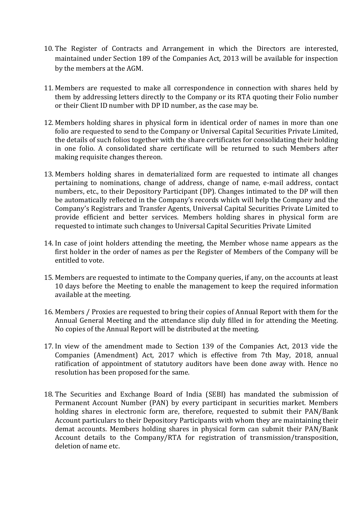- 10. The Register of Contracts and Arrangement in which the Directors are interested, maintained under Section 189 of the Companies Act, 2013 will be available for inspection by the members at the AGM.
- 11. Members are requested to make all correspondence in connection with shares held by them by addressing letters directly to the Company or its RTA quoting their Folio number or their Client ID number with DP ID number, as the case may be.
- 12. Members holding shares in physical form in identical order of names in more than one folio are requested to send to the Company or Universal Capital Securities Private Limited, the details of such folios together with the share certificates for consolidating their holding in one folio. A consolidated share certificate will be returned to such Members after making requisite changes thereon.
- 13. Members holding shares in dematerialized form are requested to intimate all changes pertaining to nominations, change of address, change of name, e-mail address, contact numbers, etc., to their Depository Participant (DP). Changes intimated to the DP will then be automatically reflected in the Company's records which will help the Company and the Company's Registrars and Transfer Agents, Universal Capital Securities Private Limited to provide efficient and better services. Members holding shares in physical form are requested to intimate such changes to Universal Capital Securities Private Limited
- 14. In case of joint holders attending the meeting, the Member whose name appears as the first holder in the order of names as per the Register of Members of the Company will be entitled to vote.
- 15. Members are requested to intimate to the Company queries, if any, on the accounts at least 10 days before the Meeting to enable the management to keep the required information available at the meeting.
- 16. Members / Proxies are requested to bring their copies of Annual Report with them for the Annual General Meeting and the attendance slip duly filled in for attending the Meeting. No copies of the Annual Report will be distributed at the meeting.
- 17. In view of the amendment made to Section 139 of the Companies Act, 2013 vide the Companies (Amendment) Act, 2017 which is effective from 7th May, 2018, annual ratification of appointment of statutory auditors have been done away with. Hence no resolution has been proposed for the same.
- 18. The Securities and Exchange Board of India (SEBI) has mandated the submission of Permanent Account Number (PAN) by every participant in securities market. Members holding shares in electronic form are, therefore, requested to submit their PAN/Bank Account particulars to their Depository Participants with whom they are maintaining their demat accounts. Members holding shares in physical form can submit their PAN/Bank Account details to the Company/RTA for registration of transmission/transposition, deletion of name etc.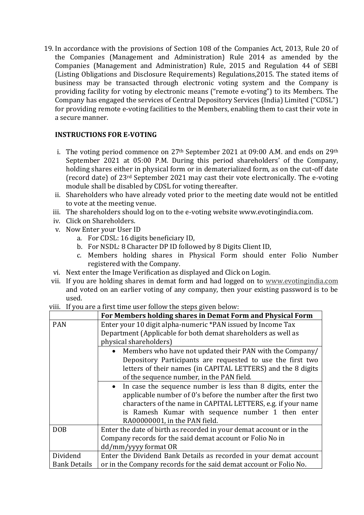19. In accordance with the provisions of Section 108 of the Companies Act, 2013, Rule 20 of the Companies (Management and Administration) Rule 2014 as amended by the Companies (Management and Administration) Rule, 2015 and Regulation 44 of SEBI (Listing Obligations and Disclosure Requirements) Regulations,2015. The stated items of business may be transacted through electronic voting system and the Company is providing facility for voting by electronic means ("remote e‐voting") to its Members. The Company has engaged the services of Central Depository Services (India) Limited ("CDSL") for providing remote e-voting facilities to the Members, enabling them to cast their vote in a secure manner.

### **INSTRUCTIONS FOR E-VOTING**

- i. The voting period commence on  $27<sup>th</sup>$  September 2021 at 09:00 A.M. and ends on  $29<sup>th</sup>$ September 2021 at 05:00 P.M. During this period shareholders' of the Company, holding shares either in physical form or in dematerialized form, as on the cut-off date (record date) of 23rd September 2021 may cast their vote electronically. The e-voting module shall be disabled by CDSL for voting thereafter.
- ii. Shareholders who have already voted prior to the meeting date would not be entitled to vote at the meeting venue.
- iii. The shareholders should log on to the e-voting website [www.evotingindia.com.](http://www.evotingindia.com/)
- iv. Click on Shareholders.
- v. Now Enter your User ID
	- a. For CDSL: 16 digits beneficiary ID,
	- b. For NSDL: 8 Character DP ID followed by 8 Digits Client ID,
	- c. Members holding shares in Physical Form should enter Folio Number registered with the Company.
- vi. Next enter the Image Verification as displayed and Click on Login.
- vii. If you are holding shares in demat form and had logged on to [www.evotingindia.com](http://www.evotingindia.com/) and voted on an earlier voting of any company, then your existing password is to be used.

### viii. If you are a first time user follow the steps given below:

|                     | For Members holding shares in Demat Form and Physical Form          |  |  |  |  |  |  |
|---------------------|---------------------------------------------------------------------|--|--|--|--|--|--|
| <b>PAN</b>          | Enter your 10 digit alpha-numeric *PAN issued by Income Tax         |  |  |  |  |  |  |
|                     | Department (Applicable for both demat shareholders as well as       |  |  |  |  |  |  |
|                     | physical shareholders)                                              |  |  |  |  |  |  |
|                     | • Members who have not updated their PAN with the Company/          |  |  |  |  |  |  |
|                     | Depository Participants are requested to use the first two          |  |  |  |  |  |  |
|                     | letters of their names (in CAPITAL LETTERS) and the 8 digits        |  |  |  |  |  |  |
|                     | of the sequence number, in the PAN field.                           |  |  |  |  |  |  |
|                     | • In case the sequence number is less than 8 digits, enter the      |  |  |  |  |  |  |
|                     | applicable number of 0's before the number after the first two      |  |  |  |  |  |  |
|                     | characters of the name in CAPITAL LETTERS, e.g. if your name        |  |  |  |  |  |  |
|                     | is Ramesh Kumar with sequence number 1 then enter                   |  |  |  |  |  |  |
|                     | RA00000001, in the PAN field.                                       |  |  |  |  |  |  |
| <b>DOB</b>          | Enter the date of birth as recorded in your demat account or in the |  |  |  |  |  |  |
|                     | Company records for the said demat account or Folio No in           |  |  |  |  |  |  |
|                     | dd/mm/yyyy format OR                                                |  |  |  |  |  |  |
| Dividend            | Enter the Dividend Bank Details as recorded in your demat account   |  |  |  |  |  |  |
| <b>Bank Details</b> | or in the Company records for the said demat account or Folio No.   |  |  |  |  |  |  |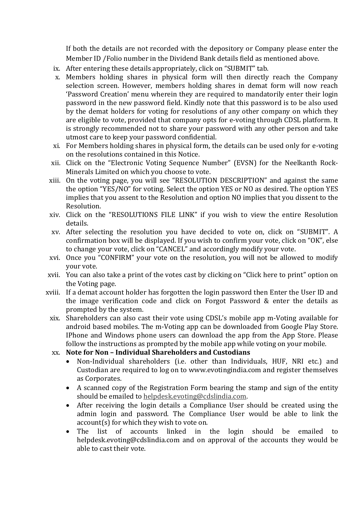If both the details are not recorded with the depository or Company please enter the Member ID /Folio number in the Dividend Bank details field as mentioned above.

- ix. After entering these details appropriately, click on "SUBMIT" tab.
- x. Members holding shares in physical form will then directly reach the Company selection screen. However, members holding shares in demat form will now reach 'Password Creation' menu wherein they are required to mandatorily enter their login password in the new password field. Kindly note that this password is to be also used by the demat holders for voting for resolutions of any other company on which they are eligible to vote, provided that company opts for e-voting through CDSL platform. It is strongly recommended not to share your password with any other person and take utmost care to keep your password confidential.
- xi. For Members holding shares in physical form, the details can be used only for e-voting on the resolutions contained in this Notice.
- xii. Click on the "Electronic Voting Sequence Number" (EVSN) for the Neelkanth Rock-Minerals Limited on which you choose to vote.
- xiii. On the voting page, you will see "RESOLUTION DESCRIPTION" and against the same the option "YES/NO" for voting. Select the option YES or NO as desired. The option YES implies that you assent to the Resolution and option NO implies that you dissent to the Resolution.
- xiv. Click on the "RESOLUTIONS FILE LINK" if you wish to view the entire Resolution details.
- xv. After selecting the resolution you have decided to vote on, click on "SUBMIT". A confirmation box will be displayed. If you wish to confirm your vote, click on "OK", else to change your vote, click on "CANCEL" and accordingly modify your vote.
- xvi. Once you "CONFIRM" your vote on the resolution, you will not be allowed to modify your vote.
- xvii. You can also take a print of the votes cast by clicking on "Click here to print" option on the Voting page.
- xviii. If a demat account holder has forgotten the login password then Enter the User ID and the image verification code and click on Forgot Password & enter the details as prompted by the system.
	- xix. Shareholders can also cast their vote using CDSL's mobile app m-Voting available for android based mobiles. The m-Voting app can be downloaded from Google Play Store. IPhone and Windows phone users can download the app from the App Store. Please follow the instructions as prompted by the mobile app while voting on your mobile.

#### xx. **Note for Non – Individual Shareholders and Custodians**

- Non-Individual shareholders (i.e. other than Individuals, HUF, NRI etc.) and Custodian are required to log on to www.evotingindia.com and register themselves as Corporates.
- A scanned copy of the Registration Form bearing the stamp and sign of the entity should be emailed to [helpdesk.evoting@cdslindia.com.](mailto:helpdesk.evoting@cdslindia.com)
- After receiving the login details a Compliance User should be created using the admin login and password. The Compliance User would be able to link the account(s) for which they wish to vote on.
- The list of accounts linked in the login should be emailed to helpdesk.evoting@cdslindia.com and on approval of the accounts they would be able to cast their vote.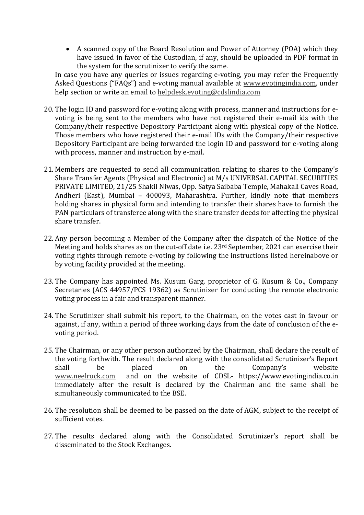A scanned copy of the Board Resolution and Power of Attorney (POA) which they have issued in favor of the Custodian, if any, should be uploaded in PDF format in the system for the scrutinizer to verify the same.

In case you have any queries or issues regarding e-voting, you may refer the Frequently Asked Questions ("FAQs") and e-voting manual available at [www.evotingindia.com,](http://www.evotingindia.com/) under help section or write an email to [helpdesk.evoting@cdslindia.com](mailto:helpdesk.evoting@cdslindia.com)

- 20. The login ID and password for e-voting along with process, manner and instructions for evoting is being sent to the members who have not registered their e-mail ids with the Company/their respective Depository Participant along with physical copy of the Notice. Those members who have registered their e-mail IDs with the Company/their respective Depository Participant are being forwarded the login ID and password for e-voting along with process, manner and instruction by e-mail.
- 21. Members are requested to send all communication relating to shares to the Company's Share Transfer Agents (Physical and Electronic) at M/s UNIVERSAL CAPITAL SECURITIES PRIVATE LIMITED, 21/25 Shakil Niwas, Opp. Satya Saibaba Temple, Mahakali Caves Road, Andheri (East), Mumbai – 400093, Maharashtra. Further, kindly note that members holding shares in physical form and intending to transfer their shares have to furnish the PAN particulars of transferee along with the share transfer deeds for affecting the physical share transfer.
- 22. Any person becoming a Member of the Company after the dispatch of the Notice of the Meeting and holds shares as on the cut-off date i.e. 23<sup>rd</sup> September, 2021 can exercise their voting rights through remote e‐voting by following the instructions listed hereinabove or by voting facility provided at the meeting.
- 23. The Company has appointed Ms. Kusum Garg, proprietor of G. Kusum & Co., Company Secretaries (ACS 44957/PCS 19362) as Scrutinizer for conducting the remote electronic voting process in a fair and transparent manner.
- 24. The Scrutinizer shall submit his report, to the Chairman, on the votes cast in favour or against, if any, within a period of three working days from the date of conclusion of the evoting period.
- 25. The Chairman, or any other person authorized by the Chairman, shall declare the result of the voting forthwith. The result declared along with the consolidated Scrutinizer's Report<br>shall be blaced on the Company's website shall be placed on the Company's website [www.neelrock.com](http://www.neelrock.com/) and on the website of CDSL- https://www.evotingindia.co.in immediately after the result is declared by the Chairman and the same shall be simultaneously communicated to the BSE.
- 26. The resolution shall be deemed to be passed on the date of AGM, subject to the receipt of sufficient votes.
- 27. The results declared along with the Consolidated Scrutinizer's report shall be disseminated to the Stock Exchanges.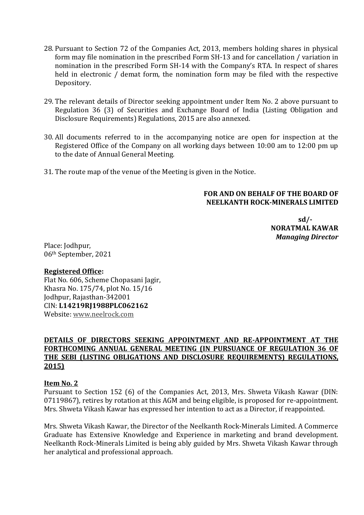- 28. Pursuant to Section 72 of the Companies Act, 2013, members holding shares in physical form may file nomination in the prescribed Form SH-13 and for cancellation / variation in nomination in the prescribed Form SH-14 with the Company's RTA. In respect of shares held in electronic / demat form, the nomination form may be filed with the respective Depository.
- 29. The relevant details of Director seeking appointment under Item No. 2 above pursuant to Regulation 36 (3) of Securities and Exchange Board of India (Listing Obligation and Disclosure Requirements) Regulations, 2015 are also annexed.
- 30. All documents referred to in the accompanying notice are open for inspection at the Registered Office of the Company on all working days between 10:00 am to 12:00 pm up to the date of Annual General Meeting.
- 31. The route map of the venue of the Meeting is given in the Notice.

#### **FOR AND ON BEHALF OF THE BOARD OF NEELKANTH ROCK-MINERALS LIMITED**

 **sd/- NORATMAL KAWAR**  *Managing Director* 

Place: Jodhpur, 06th September, 2021

#### **Registered Office:**

Flat No. 606, Scheme Chopasani Jagir, Khasra No. 175/74, plot No. 15/16 Jodhpur, Rajasthan-342001 CIN: **L14219RJ1988PLC062162** Website[: www.neelrock.com](http://www.neelrock.com/) 

#### **DETAILS OF DIRECTORS SEEKING APPOINTMENT AND RE-APPOINTMENT AT THE FORTHCOMING ANNUAL GENERAL MEETING (IN PURSUANCE OF REGULATION 36 OF THE SEBI (LISTING OBLIGATIONS AND DISCLOSURE REQUIREMENTS) REGULATIONS, 2015)**

#### **Item No. 2**

Pursuant to Section 152 (6) of the Companies Act, 2013, Mrs. Shweta Vikash Kawar (DIN: 07119867), retires by rotation at this AGM and being eligible, is proposed for re-appointment. Mrs. Shweta Vikash Kawar has expressed her intention to act as a Director, if reappointed.

Mrs. Shweta Vikash Kawar, the Director of the Neelkanth Rock-Minerals Limited. A Commerce Graduate has Extensive Knowledge and Experience in marketing and brand development. Neelkanth Rock-Minerals Limited is being ably guided by Mrs. Shweta Vikash Kawar through her analytical and professional approach.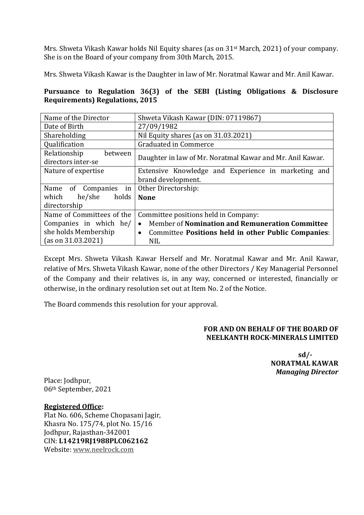Mrs. Shweta Vikash Kawar holds Nil Equity shares (as on 31st March, 2021) of your company. She is on the Board of your company from 30th March, 2015.

Mrs. Shweta Vikash Kawar is the Daughter in law of Mr. Noratmal Kawar and Mr. Anil Kawar.

|  |                                        |  |  | Pursuance to Regulation 36(3) of the SEBI (Listing Obligations & Disclosure |  |
|--|----------------------------------------|--|--|-----------------------------------------------------------------------------|--|
|  | <b>Requirements) Regulations, 2015</b> |  |  |                                                                             |  |

| Name of the Director      | Shweta Vikash Kawar (DIN: 07119867)                                     |  |
|---------------------------|-------------------------------------------------------------------------|--|
| Date of Birth             | 27/09/1982                                                              |  |
| Shareholding              | Nil Equity shares (as on 31.03.2021)                                    |  |
| Qualification             | Graduated in Commerce                                                   |  |
| Relationship<br>between   |                                                                         |  |
| directors inter-se        | Daughter in law of Mr. Noratmal Kawar and Mr. Anil Kawar.               |  |
| Nature of expertise       | Extensive Knowledge and Experience in marketing and                     |  |
|                           | brand development.                                                      |  |
| Name of Companies in      | Other Directorship:                                                     |  |
| which<br>he/she<br>holds  | <b>None</b>                                                             |  |
| directorship              |                                                                         |  |
| Name of Committees of the | Committee positions held in Company:                                    |  |
| Companies in which he/    | Member of Nomination and Remuneration Committee<br>$\bullet$            |  |
| she holds Membership      | <b>Committee Positions held in other Public Companies:</b><br>$\bullet$ |  |
| (as on 31.03.2021)        | <b>NIL</b>                                                              |  |

Except Mrs. Shweta Vikash Kawar Herself and Mr. Noratmal Kawar and Mr. Anil Kawar, relative of Mrs. Shweta Vikash Kawar, none of the other Directors / Key Managerial Personnel of the Company and their relatives is, in any way, concerned or interested, financially or otherwise, in the ordinary resolution set out at Item No. 2 of the Notice.

The Board commends this resolution for your approval.

#### **FOR AND ON BEHALF OF THE BOARD OF NEELKANTH ROCK-MINERALS LIMITED**

 **sd/- NORATMAL KAWAR**  *Managing Director* 

Place: Jodhpur, 06th September, 2021

#### **Registered Office:**

Flat No. 606, Scheme Chopasani Jagir, Khasra No. 175/74, plot No. 15/16 Jodhpur, Rajasthan-342001 CIN: **L14219RJ1988PLC062162** Website[: www.neelrock.com](http://www.neelrock.com/)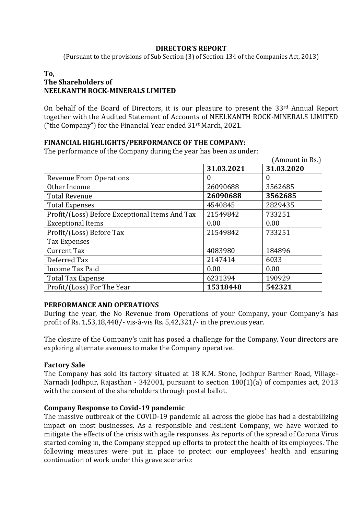#### **DIRECTOR'S REPORT**

(Pursuant to the provisions of Sub Section (3) of Section 134 of the Companies Act, 2013)

#### **To, The Shareholders of NEELKANTH ROCK-MINERALS LIMITED**

On behalf of the Board of Directors, it is our pleasure to present the 33rd Annual Report together with the Audited Statement of Accounts of NEELKANTH ROCK-MINERALS LIMITED ("the Company") for the Financial Year ended 31st March, 2021.

#### **FINANCIAL HIGHLIGHTS/PERFORMANCE OF THE COMPANY:**

The performance of the Company during the year has been as under:

|                                                |            | (Amount in Rs.) |
|------------------------------------------------|------------|-----------------|
|                                                | 31.03.2021 | 31.03.2020      |
| <b>Revenue From Operations</b>                 | 0          | 0               |
| Other Income                                   | 26090688   | 3562685         |
| <b>Total Revenue</b>                           | 26090688   | 3562685         |
| <b>Total Expenses</b>                          | 4540845    | 2829435         |
| Profit/(Loss) Before Exceptional Items And Tax | 21549842   | 733251          |
| <b>Exceptional Items</b>                       | 0.00       | 0.00            |
| Profit/(Loss) Before Tax                       | 21549842   | 733251          |
| Tax Expenses                                   |            |                 |
| <b>Current Tax</b>                             | 4083980    | 184896          |
| Deferred Tax                                   | 2147414    | 6033            |
| Income Tax Paid                                | 0.00       | 0.00            |
| <b>Total Tax Expense</b>                       | 6231394    | 190929          |
| Profit/(Loss) For The Year                     | 15318448   | 542321          |

#### **PERFORMANCE AND OPERATIONS**

During the year, the No Revenue from Operations of your Company, your Company's has profit of Rs. 1,53,18,448/- vis-à-vis Rs. 5,42,321/- in the previous year.

The closure of the Company's unit has posed a challenge for the Company. Your directors are exploring alternate avenues to make the Company operative.

#### **Factory Sale**

The Company has sold its factory situated at 18 K.M. Stone, Jodhpur Barmer Road, Village-Narnadi Jodhpur, Rajasthan - 342001, pursuant to section 180(1)(a) of companies act, 2013 with the consent of the shareholders through postal ballot.

#### **Company Response to Covid-19 pandemic**

The massive outbreak of the COVID-19 pandemic all across the globe has had a destabilizing impact on most businesses. As a responsible and resilient Company, we have worked to mitigate the effects of the crisis with agile responses. As reports of the spread of Corona Virus started coming in, the Company stepped up efforts to protect the health of its employees. The following measures were put in place to protect our employees' health and ensuring continuation of work under this grave scenario: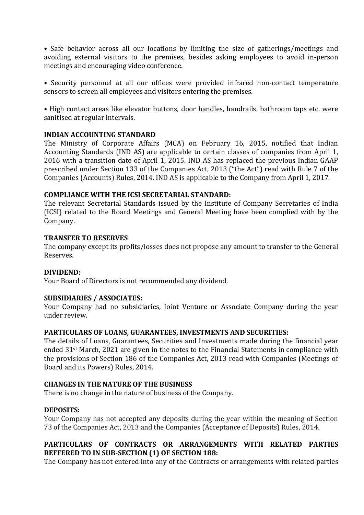• Safe behavior across all our locations by limiting the size of gatherings/meetings and avoiding external visitors to the premises, besides asking employees to avoid in-person meetings and encouraging video conference.

• Security personnel at all our offices were provided infrared non-contact temperature sensors to screen all employees and visitors entering the premises.

• High contact areas like elevator buttons, door handles, handrails, bathroom taps etc. were sanitised at regular intervals.

#### **INDIAN ACCOUNTING STANDARD**

The Ministry of Corporate Affairs (MCA) on February 16, 2015, notified that Indian Accounting Standards (IND AS) are applicable to certain classes of companies from April 1, 2016 with a transition date of April 1, 2015. IND AS has replaced the previous Indian GAAP prescribed under Section 133 of the Companies Act, 2013 ("the Act") read with Rule 7 of the Companies (Accounts) Rules, 2014. IND AS is applicable to the Company from April 1, 2017.

#### **COMPLIANCE WITH THE ICSI SECRETARIAL STANDARD:**

The relevant Secretarial Standards issued by the Institute of Company Secretaries of India (ICSI) related to the Board Meetings and General Meeting have been complied with by the Company.

#### **TRANSFER TO RESERVES**

The company except its profits/losses does not propose any amount to transfer to the General Reserves.

#### **DIVIDEND:**

Your Board of Directors is not recommended any dividend.

#### **SUBSIDIARIES / ASSOCIATES:**

Your Company had no subsidiaries, Joint Venture or Associate Company during the year under review.

#### **PARTICULARS OF LOANS, GUARANTEES, INVESTMENTS AND SECURITIES:**

The details of Loans, Guarantees, Securities and Investments made during the financial year ended 31st March, 2021 are given in the notes to the Financial Statements in compliance with the provisions of Section 186 of the Companies Act, 2013 read with Companies (Meetings of Board and its Powers) Rules, 2014.

#### **CHANGES IN THE NATURE OF THE BUSINESS**

There is no change in the nature of business of the Company.

#### **DEPOSITS:**

Your Company has not accepted any deposits during the year within the meaning of Section 73 of the Companies Act, 2013 and the Companies (Acceptance of Deposits) Rules, 2014.

#### **PARTICULARS OF CONTRACTS OR ARRANGEMENTS WITH RELATED PARTIES REFFERED TO IN SUB-SECTION (1) OF SECTION 188:**

The Company has not entered into any of the Contracts or arrangements with related parties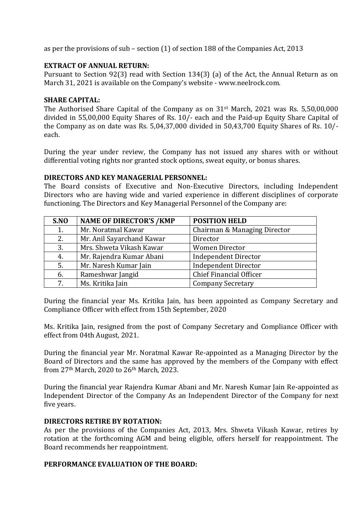as per the provisions of sub – section (1) of section 188 of the Companies Act, 2013

#### **EXTRACT OF ANNUAL RETURN:**

Pursuant to Section 92(3) read with Section 134(3) (a) of the Act, the Annual Return as on March 31, 2021 is available on the Company's website - www.neelrock.com.

#### **SHARE CAPITAL:**

The Authorised Share Capital of the Company as on  $31<sup>st</sup>$  March, 2021 was Rs. 5,50,00,000 divided in 55,00,000 Equity Shares of Rs. 10/- each and the Paid-up Equity Share Capital of the Company as on date was Rs. 5,04,37,000 divided in 50,43,700 Equity Shares of Rs. 10/ each.

During the year under review, the Company has not issued any shares with or without differential voting rights nor granted stock options, sweat equity, or bonus shares.

#### **DIRECTORS AND KEY MANAGERIAL PERSONNEL:**

The Board consists of Executive and Non-Executive Directors, including Independent Directors who are having wide and varied experience in different disciplines of corporate functioning. The Directors and Key Managerial Personnel of the Company are:

| S.NO | <b>NAME OF DIRECTOR'S / KMP</b> | <b>POSITION HELD</b>         |
|------|---------------------------------|------------------------------|
| 1.   | Mr. Noratmal Kawar              | Chairman & Managing Director |
| 2.   | Mr. Anil Sayarchand Kawar       | Director                     |
| 3.   | Mrs. Shweta Vikash Kawar        | <b>Women Director</b>        |
| 4.   | Mr. Rajendra Kumar Abani        | <b>Independent Director</b>  |
| 5.   | Mr. Naresh Kumar Jain           | <b>Independent Director</b>  |
| 6.   | Rameshwar Jangid                | Chief Financial Officer      |
| 7.   | Ms. Kritika Jain                | <b>Company Secretary</b>     |

During the financial year Ms. Kritika Jain, has been appointed as Company Secretary and Compliance Officer with effect from 15th September, 2020

Ms. Kritika Jain, resigned from the post of Company Secretary and Compliance Officer with effect from 04th August, 2021.

During the financial year Mr. Noratmal Kawar Re-appointed as a Managing Director by the Board of Directors and the same has approved by the members of the Company with effect from 27th March, 2020 to 26th March, 2023.

During the financial year Rajendra Kumar Abani and Mr. Naresh Kumar Jain Re-appointed as Independent Director of the Company As an Independent Director of the Company for next five years.

#### **DIRECTORS RETIRE BY ROTATION:**

As per the provisions of the Companies Act, 2013, Mrs. Shweta Vikash Kawar, retires by rotation at the forthcoming AGM and being eligible, offers herself for reappointment. The Board recommends her reappointment.

#### **PERFORMANCE EVALUATION OF THE BOARD:**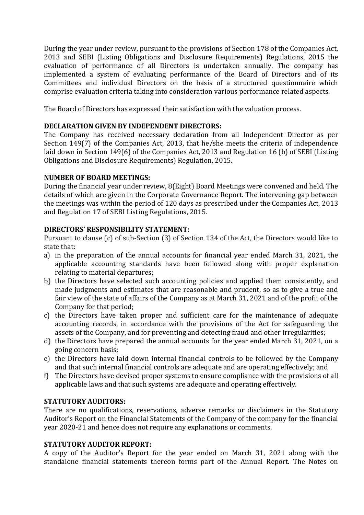During the year under review, pursuant to the provisions of Section 178 of the Companies Act, 2013 and SEBI (Listing Obligations and Disclosure Requirements) Regulations, 2015 the evaluation of performance of all Directors is undertaken annually. The company has implemented a system of evaluating performance of the Board of Directors and of its Committees and individual Directors on the basis of a structured questionnaire which comprise evaluation criteria taking into consideration various performance related aspects.

The Board of Directors has expressed their satisfaction with the valuation process.

### **DECLARATION GIVEN BY INDEPENDENT DIRECTORS:**

The Company has received necessary declaration from all Independent Director as per Section 149(7) of the Companies Act, 2013, that he/she meets the criteria of independence laid down in Section 149(6) of the Companies Act, 2013 and Regulation 16 (b) of SEBI (Listing Obligations and Disclosure Requirements) Regulation, 2015.

#### **NUMBER OF BOARD MEETINGS:**

During the financial year under review, 8(Eight) Board Meetings were convened and held. The details of which are given in the Corporate Governance Report. The intervening gap between the meetings was within the period of 120 days as prescribed under the Companies Act, 2013 and Regulation 17 of SEBI Listing Regulations, 2015.

#### **DIRECTORS' RESPONSIBILITY STATEMENT:**

Pursuant to clause (c) of sub-Section (3) of Section 134 of the Act, the Directors would like to state that:

- a) in the preparation of the annual accounts for financial year ended March 31, 2021, the applicable accounting standards have been followed along with proper explanation relating to material departures;
- b) the Directors have selected such accounting policies and applied them consistently, and made judgments and estimates that are reasonable and prudent, so as to give a true and fair view of the state of affairs of the Company as at March 31, 2021 and of the profit of the Company for that period;
- c) the Directors have taken proper and sufficient care for the maintenance of adequate accounting records, in accordance with the provisions of the Act for safeguarding the assets of the Company, and for preventing and detecting fraud and other irregularities;
- d) the Directors have prepared the annual accounts for the year ended March 31, 2021, on a going concern basis;
- e) the Directors have laid down internal financial controls to be followed by the Company and that such internal financial controls are adequate and are operating effectively; and
- f) The Directors have devised proper systems to ensure compliance with the provisions of all applicable laws and that such systems are adequate and operating effectively.

### **STATUTORY AUDITORS:**

There are no qualifications, reservations, adverse remarks or disclaimers in the Statutory Auditor's Report on the Financial Statements of the Company of the company for the financial year 2020-21 and hence does not require any explanations or comments.

#### **STATUTORY AUDITOR REPORT:**

A copy of the Auditor's Report for the year ended on March 31, 2021 along with the standalone financial statements thereon forms part of the Annual Report. The Notes on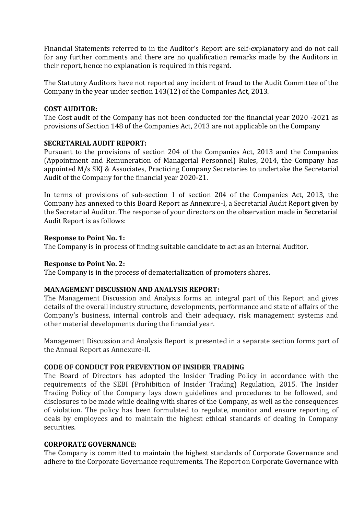Financial Statements referred to in the Auditor's Report are self-explanatory and do not call for any further comments and there are no qualification remarks made by the Auditors in their report, hence no explanation is required in this regard.

The Statutory Auditors have not reported any incident of fraud to the Audit Committee of the Company in the year under section 143(12) of the Companies Act, 2013.

#### **COST AUDITOR:**

The Cost audit of the Company has not been conducted for the financial year 2020 -2021 as provisions of Section 148 of the Companies Act, 2013 are not applicable on the Company

#### **SECRETARIAL AUDIT REPORT:**

Pursuant to the provisions of section 204 of the Companies Act, 2013 and the Companies (Appointment and Remuneration of Managerial Personnel) Rules, 2014, the Company has appointed M/s SKJ & Associates, Practicing Company Secretaries to undertake the Secretarial Audit of the Company for the financial year 2020-21.

In terms of provisions of sub-section 1 of section 204 of the Companies Act, 2013, the Company has annexed to this Board Report as Annexure-I, a Secretarial Audit Report given by the Secretarial Auditor. The response of your directors on the observation made in Secretarial Audit Report is as follows:

#### **Response to Point No. 1:**

The Company is in process of finding suitable candidate to act as an Internal Auditor.

#### **Response to Point No. 2:**

The Company is in the process of dematerialization of promoters shares.

#### **MANAGEMENT DISCUSSION AND ANALYSIS REPORT:**

The Management Discussion and Analysis forms an integral part of this Report and gives details of the overall industry structure, developments, performance and state of affairs of the Company's business, internal controls and their adequacy, risk management systems and other material developments during the financial year.

Management Discussion and Analysis Report is presented in a separate section forms part of the Annual Report as Annexure-II.

#### **CODE OF CONDUCT FOR PREVENTION OF INSIDER TRADING**

The Board of Directors has adopted the Insider Trading Policy in accordance with the requirements of the SEBI (Prohibition of Insider Trading) Regulation, 2015. The Insider Trading Policy of the Company lays down guidelines and procedures to be followed, and disclosures to be made while dealing with shares of the Company, as well as the consequences of violation. The policy has been formulated to regulate, monitor and ensure reporting of deals by employees and to maintain the highest ethical standards of dealing in Company securities.

#### **CORPORATE GOVERNANCE:**

The Company is committed to maintain the highest standards of Corporate Governance and adhere to the Corporate Governance requirements. The Report on Corporate Governance with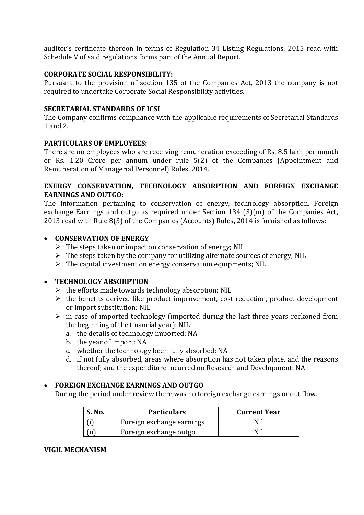auditor's certificate thereon in terms of Regulation 34 Listing Regulations, 2015 read with Schedule V of said regulations forms part of the Annual Report.

#### **CORPORATE SOCIAL RESPONSIBILITY:**

Pursuant to the provision of section 135 of the Companies Act, 2013 the company is not required to undertake Corporate Social Responsibility activities.

#### **SECRETARIAL STANDARDS OF ICSI**

The Company confirms compliance with the applicable requirements of Secretarial Standards 1 and 2.

#### **PARTICULARS OF EMPLOYEES:**

There are no employees who are receiving remuneration exceeding of Rs. 8.5 lakh per month or Rs. 1.20 Crore per annum under rule 5(2) of the Companies (Appointment and Remuneration of Managerial Personnel) Rules, 2014.

#### **ENERGY CONSERVATION, TECHNOLOGY ABSORPTION AND FOREIGN EXCHANGE EARNINGS AND OUTGO:**

The information pertaining to conservation of energy, technology absorption, Foreign exchange Earnings and outgo as required under Section 134 (3)(m) of the Companies Act, 2013 read with Rule 8(3) of the Companies (Accounts) Rules, 2014 is furnished as follows:

#### **CONSERVATION OF ENERGY**

- $\triangleright$  The steps taken or impact on conservation of energy; NIL
- $\triangleright$  The steps taken by the company for utilizing alternate sources of energy; NIL
- $\triangleright$  The capital investment on energy conservation equipments; NIL

#### **TECHNOLOGY ABSORPTION**

- $\triangleright$  the efforts made towards technology absorption: NIL
- $\triangleright$  the benefits derived like product improvement, cost reduction, product development or import substitution: NIL
- $\triangleright$  in case of imported technology (imported during the last three years reckoned from the beginning of the financial year): NIL
	- a. the details of technology imported: NA
	- b. the year of import: NA
	- c. whether the technology been fully absorbed: NA
	- d. if not fully absorbed, areas where absorption has not taken place, and the reasons thereof; and the expenditure incurred on Research and Development: NA

#### **FOREIGN EXCHANGE EARNINGS AND OUTGO**

During the period under review there was no foreign exchange earnings or out flow.

| S. No.<br><b>Particulars</b> |                           | <b>Current Year</b> |
|------------------------------|---------------------------|---------------------|
|                              | Foreign exchange earnings | Nil                 |
| (i)                          | Foreign exchange outgo    | Nil                 |

#### **VIGIL MECHANISM**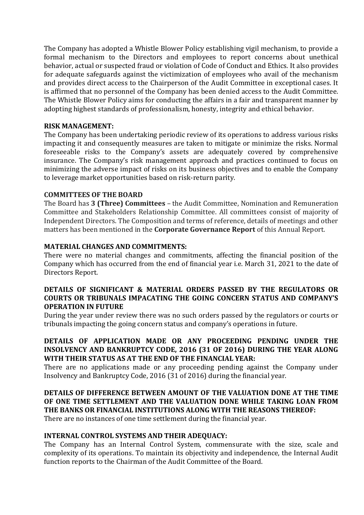The Company has adopted a Whistle Blower Policy establishing vigil mechanism, to provide a formal mechanism to the Directors and employees to report concerns about unethical behavior, actual or suspected fraud or violation of Code of Conduct and Ethics. It also provides for adequate safeguards against the victimization of employees who avail of the mechanism and provides direct access to the Chairperson of the Audit Committee in exceptional cases. It is affirmed that no personnel of the Company has been denied access to the Audit Committee. The Whistle Blower Policy aims for conducting the affairs in a fair and transparent manner by adopting highest standards of professionalism, honesty, integrity and ethical behavior.

#### **RISK MANAGEMENT:**

The Company has been undertaking periodic review of its operations to address various risks impacting it and consequently measures are taken to mitigate or minimize the risks. Normal foreseeable risks to the Company's assets are adequately covered by comprehensive insurance. The Company's risk management approach and practices continued to focus on minimizing the adverse impact of risks on its business objectives and to enable the Company to leverage market opportunities based on risk-return parity.

#### **COMMITTEES OF THE BOARD**

The Board has **3 (Three) Committees** – the Audit Committee, Nomination and Remuneration Committee and Stakeholders Relationship Committee. All committees consist of majority of Independent Directors. The Composition and terms of reference, details of meetings and other matters has been mentioned in the **Corporate Governance Report** of this Annual Report.

#### **MATERIAL CHANGES AND COMMITMENTS:**

There were no material changes and commitments, affecting the financial position of the Company which has occurred from the end of financial year i.e. March 31, 2021 to the date of Directors Report.

#### **DETAILS OF SIGNIFICANT & MATERIAL ORDERS PASSED BY THE REGULATORS OR COURTS OR TRIBUNALS IMPACATING THE GOING CONCERN STATUS AND COMPANY'S OPERATION IN FUTURE**

During the year under review there was no such orders passed by the regulators or courts or tribunals impacting the going concern status and company's operations in future.

#### **DETAILS OF APPLICATION MADE OR ANY PROCEEDING PENDING UNDER THE INSOLVENCY AND BANKRUPTCY CODE, 2016 (31 OF 2016) DURING THE YEAR ALONG WITH THEIR STATUS AS AT THE END OF THE FINANCIAL YEAR:**

There are no applications made or any proceeding pending against the Company under Insolvency and Bankruptcy Code, 2016 (31 of 2016) during the financial year.

## **DETAILS OF DIFFERENCE BETWEEN AMOUNT OF THE VALUATION DONE AT THE TIME OF ONE TIME SETTLEMENT AND THE VALUATION DONE WHILE TAKING LOAN FROM THE BANKS OR FINANCIAL INSTITUTIONS ALONG WITH THE REASONS THEREOF:**

There are no instances of one time settlement during the financial year.

#### **INTERNAL CONTROL SYSTEMS AND THEIR ADEQUACY:**

The Company has an Internal Control System, commensurate with the size, scale and complexity of its operations. To maintain its objectivity and independence, the Internal Audit function reports to the Chairman of the Audit Committee of the Board.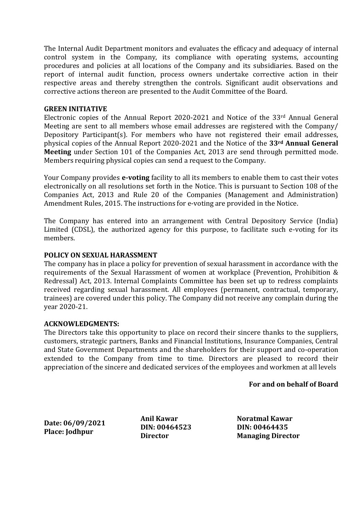The Internal Audit Department monitors and evaluates the efficacy and adequacy of internal control system in the Company, its compliance with operating systems, accounting procedures and policies at all locations of the Company and its subsidiaries. Based on the report of internal audit function, process owners undertake corrective action in their respective areas and thereby strengthen the controls. Significant audit observations and corrective actions thereon are presented to the Audit Committee of the Board.

#### **GREEN INITIATIVE**

Electronic copies of the Annual Report 2020-2021 and Notice of the 33rd Annual General Meeting are sent to all members whose email addresses are registered with the Company/ Depository Participant(s). For members who have not registered their email addresses, physical copies of the Annual Report 2020-2021 and the Notice of the **33rd Annual General Meeting** under Section 101 of the Companies Act, 2013 are send through permitted mode. Members requiring physical copies can send a request to the Company.

Your Company provides **e-voting** facility to all its members to enable them to cast their votes electronically on all resolutions set forth in the Notice. This is pursuant to Section 108 of the Companies Act, 2013 and Rule 20 of the Companies (Management and Administration) Amendment Rules, 2015. The instructions for e-voting are provided in the Notice.

The Company has entered into an arrangement with Central Depository Service (India) Limited (CDSL), the authorized agency for this purpose, to facilitate such e-voting for its members.

#### **POLICY ON SEXUAL HARASSMENT**

The company has in place a policy for prevention of sexual harassment in accordance with the requirements of the Sexual Harassment of women at workplace (Prevention, Prohibition & Redressal) Act, 2013. Internal Complaints Committee has been set up to redress complaints received regarding sexual harassment. All employees (permanent, contractual, temporary, trainees) are covered under this policy. The Company did not receive any complain during the year 2020-21.

#### **ACKNOWLEDGMENTS:**

The Directors take this opportunity to place on record their sincere thanks to the suppliers, customers, strategic partners, Banks and Financial Institutions, Insurance Companies, Central and State Government Departments and the shareholders for their support and co-operation extended to the Company from time to time. Directors are pleased to record their appreciation of the sincere and dedicated services of the employees and workmen at all levels

#### **For and on behalf of Board**

**Date: 06/09/2021 Place: Jodhpur** 

**Anil Kawar DIN: 00464523 Director** 

**Noratmal Kawar DIN: 00464435 Managing Director**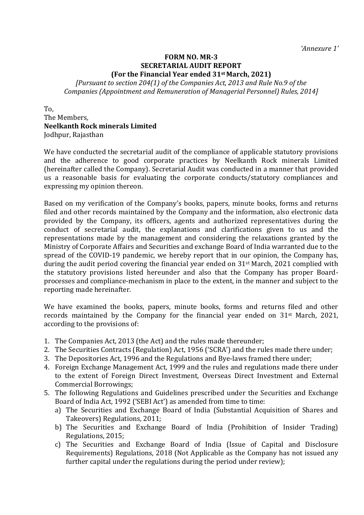#### **FORM NO. MR-3 SECRETARIAL AUDIT REPORT (For the Financial Year ended 31st March, 2021)**

*[Pursuant to section 204(1) of the Companies Act, 2013 and Rule No.9 of the Companies (Appointment and Remuneration of Managerial Personnel) Rules, 2014]*

#### To, The Members, **Neelkanth Rock minerals Limited**  Jodhpur, Rajasthan

We have conducted the secretarial audit of the compliance of applicable statutory provisions and the adherence to good corporate practices by Neelkanth Rock minerals Limited (hereinafter called the Company). Secretarial Audit was conducted in a manner that provided us a reasonable basis for evaluating the corporate conducts/statutory compliances and expressing my opinion thereon.

Based on my verification of the Company's books, papers, minute books, forms and returns filed and other records maintained by the Company and the information, also electronic data provided by the Company, its officers, agents and authorized representatives during the conduct of secretarial audit, the explanations and clarifications given to us and the representations made by the management and considering the relaxations granted by the Ministry of Corporate Affairs and Securities and exchange Board of India warranted due to the spread of the COVID-19 pandemic, we hereby report that in our opinion, the Company has, during the audit period covering the financial year ended on 31<sup>st</sup> March, 2021 complied with the statutory provisions listed hereunder and also that the Company has proper Boardprocesses and compliance-mechanism in place to the extent, in the manner and subject to the reporting made hereinafter.

We have examined the books, papers, minute books, forms and returns filed and other records maintained by the Company for the financial year ended on 31st March, 2021, according to the provisions of:

- 1. The Companies Act, 2013 (the Act) and the rules made thereunder;
- 2. The Securities Contracts (Regulation) Act, 1956 ('SCRA') and the rules made there under;
- 3. The Depositories Act, 1996 and the Regulations and Bye-laws framed there under;
- 4. Foreign Exchange Management Act, 1999 and the rules and regulations made there under to the extent of Foreign Direct Investment, Overseas Direct Investment and External Commercial Borrowings;
- 5. The following Regulations and Guidelines prescribed under the Securities and Exchange Board of India Act, 1992 ('SEBI Act') as amended from time to time:
	- a) The Securities and Exchange Board of India (Substantial Acquisition of Shares and Takeovers) Regulations, 2011;
	- b) The Securities and Exchange Board of India (Prohibition of Insider Trading) Regulations, 2015;
	- c) The Securities and Exchange Board of India (Issue of Capital and Disclosure Requirements) Regulations, 2018 (Not Applicable as the Company has not issued any further capital under the regulations during the period under review);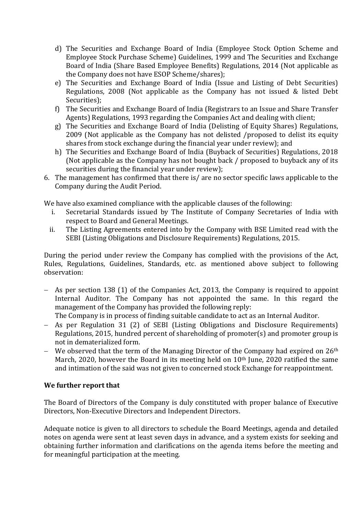- d) The Securities and Exchange Board of India (Employee Stock Option Scheme and Employee Stock Purchase Scheme) Guidelines, 1999 and The Securities and Exchange Board of India (Share Based Employee Benefits) Regulations, 2014 (Not applicable as the Company does not have ESOP Scheme/shares);
- e) The Securities and Exchange Board of India (Issue and Listing of Debt Securities) Regulations, 2008 (Not applicable as the Company has not issued & listed Debt Securities);
- f) The Securities and Exchange Board of India (Registrars to an Issue and Share Transfer Agents) Regulations, 1993 regarding the Companies Act and dealing with client;
- g) The Securities and Exchange Board of India (Delisting of Equity Shares) Regulations, 2009 (Not applicable as the Company has not delisted /proposed to delist its equity shares from stock exchange during the financial year under review); and
- h) The Securities and Exchange Board of India (Buyback of Securities) Regulations, 2018 (Not applicable as the Company has not bought back / proposed to buyback any of its securities during the financial year under review);
- 6. The management has confirmed that there is/ are no sector specific laws applicable to the Company during the Audit Period.

We have also examined compliance with the applicable clauses of the following:

- i. Secretarial Standards issued by The Institute of Company Secretaries of India with respect to Board and General Meetings.
- ii. The Listing Agreements entered into by the Company with BSE Limited read with the SEBI (Listing Obligations and Disclosure Requirements) Regulations, 2015.

During the period under review the Company has complied with the provisions of the Act, Rules, Regulations, Guidelines, Standards, etc. as mentioned above subject to following observation:

 As per section 138 (1) of the Companies Act, 2013, the Company is required to appoint Internal Auditor. The Company has not appointed the same. In this regard the management of the Company has provided the following reply:

The Company is in process of finding suitable candidate to act as an Internal Auditor.

- As per Regulation 31 (2) of SEBI (Listing Obligations and Disclosure Requirements) Regulations, 2015, hundred percent of shareholding of promoter(s) and promoter group is not in dematerialized form.
- We observed that the term of the Managing Director of the Company had expired on 26<sup>th</sup> March, 2020, however the Board in its meeting held on 10<sup>th</sup> June, 2020 ratified the same and intimation of the said was not given to concerned stock Exchange for reappointment.

#### **We further report that**

The Board of Directors of the Company is duly constituted with proper balance of Executive Directors, Non-Executive Directors and Independent Directors.

Adequate notice is given to all directors to schedule the Board Meetings, agenda and detailed notes on agenda were sent at least seven days in advance, and a system exists for seeking and obtaining further information and clarifications on the agenda items before the meeting and for meaningful participation at the meeting.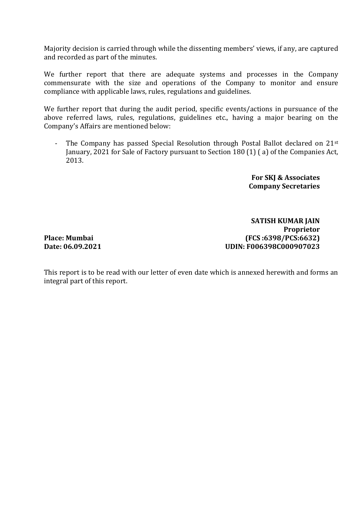Majority decision is carried through while the dissenting members' views, if any, are captured and recorded as part of the minutes.

We further report that there are adequate systems and processes in the Company commensurate with the size and operations of the Company to monitor and ensure compliance with applicable laws, rules, regulations and guidelines.

We further report that during the audit period, specific events/actions in pursuance of the above referred laws, rules, regulations, guidelines etc., having a major bearing on the Company's Affairs are mentioned below:

- The Company has passed Special Resolution through Postal Ballot declared on 21st January, 2021 for Sale of Factory pursuant to Section 180 (1) ( a) of the Companies Act, 2013.

> **For SKJ & Associates Company Secretaries**

**Place: Mumbai Date: 06.09.2021**

**SATISH KUMAR JAIN Proprietor (FCS :6398/PCS:6632) UDIN: F006398C000907023**

This report is to be read with our letter of even date which is annexed herewith and forms an integral part of this report.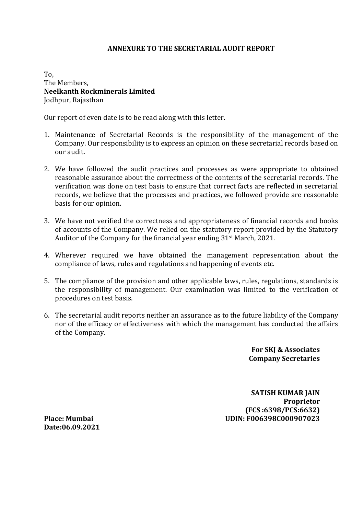#### **ANNEXURE TO THE SECRETARIAL AUDIT REPORT**

To, The Members, **Neelkanth Rockminerals Limited**  Jodhpur, Rajasthan

Our report of even date is to be read along with this letter.

- 1. Maintenance of Secretarial Records is the responsibility of the management of the Company. Our responsibility is to express an opinion on these secretarial records based on our audit.
- 2. We have followed the audit practices and processes as were appropriate to obtained reasonable assurance about the correctness of the contents of the secretarial records. The verification was done on test basis to ensure that correct facts are reflected in secretarial records, we believe that the processes and practices, we followed provide are reasonable basis for our opinion.
- 3. We have not verified the correctness and appropriateness of financial records and books of accounts of the Company. We relied on the statutory report provided by the Statutory Auditor of the Company for the financial year ending 31st March, 2021.
- 4. Wherever required we have obtained the management representation about the compliance of laws, rules and regulations and happening of events etc.
- 5. The compliance of the provision and other applicable laws, rules, regulations, standards is the responsibility of management. Our examination was limited to the verification of procedures on test basis.
- 6. The secretarial audit reports neither an assurance as to the future liability of the Company nor of the efficacy or effectiveness with which the management has conducted the affairs of the Company.

**For SKJ & Associates Company Secretaries** 

**SATISH KUMAR JAIN Proprietor (FCS :6398/PCS:6632) UDIN: F006398C000907023** 

**Place: Mumbai Date:06.09.2021**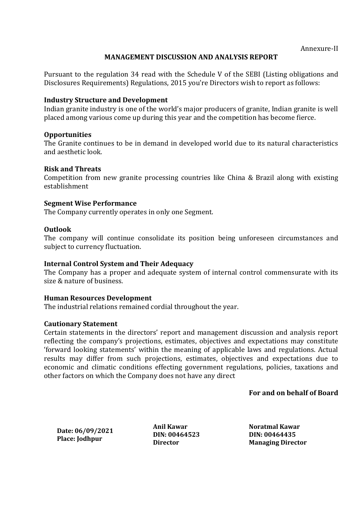#### **MANAGEMENT DISCUSSION AND ANALYSIS REPORT**

Pursuant to the regulation 34 read with the Schedule V of the SEBI (Listing obligations and Disclosures Requirements) Regulations, 2015 you're Directors wish to report as follows:

#### **Industry Structure and Development**

Indian granite industry is one of the world's major producers of granite, Indian granite is well placed among various come up during this year and the competition has become fierce.

#### **Opportunities**

The Granite continues to be in demand in developed world due to its natural characteristics and aesthetic look.

#### **Risk and Threats**

Competition from new granite processing countries like China & Brazil along with existing establishment

#### **Segment Wise Performance**

The Company currently operates in only one Segment.

#### **Outlook**

The company will continue consolidate its position being unforeseen circumstances and subject to currency fluctuation.

#### **Internal Control System and Their Adequacy**

The Company has a proper and adequate system of internal control commensurate with its size & nature of business.

#### **Human Resources Development**

The industrial relations remained cordial throughout the year.

#### **Cautionary Statement**

Certain statements in the directors' report and management discussion and analysis report reflecting the company's projections, estimates, objectives and expectations may constitute 'forward looking statements' within the meaning of applicable laws and regulations. Actual results may differ from such projections, estimates, objectives and expectations due to economic and climatic conditions effecting government regulations, policies, taxations and other factors on which the Company does not have any direct

#### **For and on behalf of Board**

**Date: 06/09/2021 Place: Jodhpur** 

**Anil Kawar DIN: 00464523 Director** 

**Noratmal Kawar DIN: 00464435 Managing Director**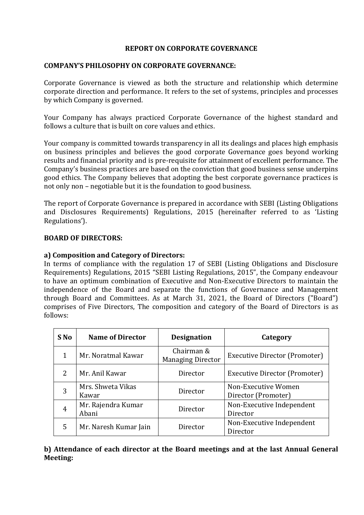#### **REPORT ON CORPORATE GOVERNANCE**

#### **COMPANY'S PHILOSOPHY ON CORPORATE GOVERNANCE:**

Corporate Governance is viewed as both the structure and relationship which determine corporate direction and performance. It refers to the set of systems, principles and processes by which Company is governed.

Your Company has always practiced Corporate Governance of the highest standard and follows a culture that is built on core values and ethics.

Your company is committed towards transparency in all its dealings and places high emphasis on business principles and believes the good corporate Governance goes beyond working results and financial priority and is pre-requisite for attainment of excellent performance. The Company's business practices are based on the conviction that good business sense underpins good ethics. The Company believes that adopting the best corporate governance practices is not only non – negotiable but it is the foundation to good business.

The report of Corporate Governance is prepared in accordance with SEBI (Listing Obligations and Disclosures Requirements) Regulations, 2015 (hereinafter referred to as 'Listing Regulations').

#### **BOARD OF DIRECTORS:**

#### **a) Composition and Category of Directors:**

In terms of compliance with the regulation 17 of SEBI (Listing Obligations and Disclosure Requirements) Regulations, 2015 "SEBI Listing Regulations, 2015", the Company endeavour to have an optimum combination of Executive and Non-Executive Directors to maintain the independence of the Board and separate the functions of Governance and Management through Board and Committees. As at March 31, 2021, the Board of Directors ("Board") comprises of Five Directors, The composition and category of the Board of Directors is as follows:

| S No           | <b>Name of Director</b>     | <b>Designation</b>                     | Category                                   |
|----------------|-----------------------------|----------------------------------------|--------------------------------------------|
| 1              | Mr. Noratmal Kawar          | Chairman &<br><b>Managing Director</b> | <b>Executive Director (Promoter)</b>       |
| 2              | Mr. Anil Kawar              | Director                               | <b>Executive Director (Promoter)</b>       |
| 3              | Mrs. Shweta Vikas<br>Kawar  | Director                               | Non-Executive Women<br>Director (Promoter) |
| $\overline{4}$ | Mr. Rajendra Kumar<br>Abani | Director                               | Non-Executive Independent<br>Director      |
| 5              | Mr. Naresh Kumar Jain       | Director                               | Non-Executive Independent<br>Director      |

**b) Attendance of each director at the Board meetings and at the last Annual General Meeting:**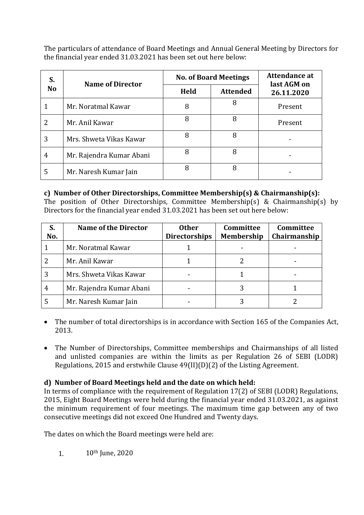The particulars of attendance of Board Meetings and Annual General Meeting by Directors for the financial year ended 31.03.2021 has been set out here below:

| S.        | <b>Name of Director</b>  | <b>No. of Board Meetings</b> | <b>Attendance at</b><br>last AGM on |            |
|-----------|--------------------------|------------------------------|-------------------------------------|------------|
| <b>No</b> |                          | Held                         | <b>Attended</b>                     | 26.11.2020 |
|           | Mr. Noratmal Kawar       | 8                            | 8                                   | Present    |
| 2         | Mr. Anil Kawar           | 8                            | 8                                   | Present    |
| 3         | Mrs. Shweta Vikas Kawar  | 8                            | 8                                   |            |
| 4         | Mr. Rajendra Kumar Abani | 8                            | 8                                   |            |
| 5         | Mr. Naresh Kumar Jain    | 8                            | 8                                   |            |

## **c) Number of Other Directorships, Committee Membership(s) & Chairmanship(s):**

The position of Other Directorships, Committee Membership(s) & Chairmanship(s) by Directors for the financial year ended 31.03.2021 has been set out here below:

| S.<br>No. | <b>Name of the Director</b> | <b>Other</b><br><b>Directorships</b> | Committee<br><b>Membership</b> | Committee<br>Chairmanship |
|-----------|-----------------------------|--------------------------------------|--------------------------------|---------------------------|
|           | Mr. Noratmal Kawar          |                                      |                                |                           |
| 2         | Mr. Anil Kawar              |                                      |                                |                           |
| 3         | Mrs. Shweta Vikas Kawar     |                                      |                                |                           |
| 4         | Mr. Rajendra Kumar Abani    |                                      |                                |                           |
| 5         | Mr. Naresh Kumar Jain       |                                      |                                |                           |

- The number of total directorships is in accordance with Section 165 of the Companies Act, 2013.
- The Number of Directorships, Committee memberships and Chairmanships of all listed and unlisted companies are within the limits as per Regulation 26 of SEBI (LODR) Regulations, 2015 and erstwhile Clause 49(II)(D)(2) of the Listing Agreement.

### **d) Number of Board Meetings held and the date on which held:**

In terms of compliance with the requirement of Regulation 17(2) of SEBI (LODR) Regulations, 2015, Eight Board Meetings were held during the financial year ended 31.03.2021, as against the minimum requirement of four meetings. The maximum time gap between any of two consecutive meetings did not exceed One Hundred and Twenty days.

The dates on which the Board meetings were held are:

1. 10th June, 2020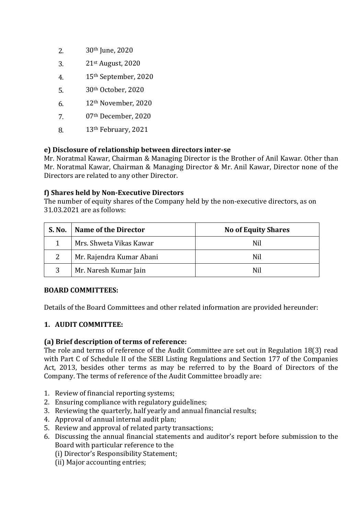- 2. 30th June, 2020
- 3. 21st August, 2020
- 4. 15th September, 2020
- 5. 30th October, 2020
- 6. 12th November, 2020
- 7. 07th December, 2020
- 8. 13th February, 2021

#### **e) Disclosure of relationship between directors inter-se**

Mr. Noratmal Kawar, Chairman & Managing Director is the Brother of Anil Kawar. Other than Mr. Noratmal Kawar, Chairman & Managing Director & Mr. Anil Kawar, Director none of the Directors are related to any other Director.

#### **f) Shares held by Non-Executive Directors**

The number of equity shares of the Company held by the non-executive directors, as on 31.03.2021 are as follows:

| S. No. | Name of the Director     | <b>No of Equity Shares</b> |
|--------|--------------------------|----------------------------|
|        | Mrs. Shweta Vikas Kawar  | Nil                        |
| 2      | Mr. Rajendra Kumar Abani | Nil                        |
| २      | Mr. Naresh Kumar Jain    | Nil                        |

#### **BOARD COMMITTEES:**

Details of the Board Committees and other related information are provided hereunder:

### **1. AUDIT COMMITTEE:**

#### **(a) Brief description of terms of reference:**

The role and terms of reference of the Audit Committee are set out in Regulation 18(3) read with Part C of Schedule II of the SEBI Listing Regulations and Section 177 of the Companies Act, 2013, besides other terms as may be referred to by the Board of Directors of the Company. The terms of reference of the Audit Committee broadly are:

- 1. Review of financial reporting systems;
- 2. Ensuring compliance with regulatory guidelines;
- 3. Reviewing the quarterly, half yearly and annual financial results;
- 4. Approval of annual internal audit plan;
- 5. Review and approval of related party transactions;
- 6. Discussing the annual financial statements and auditor's report before submission to the Board with particular reference to the
	- (i) Director's Responsibility Statement;
	- (ii) Major accounting entries;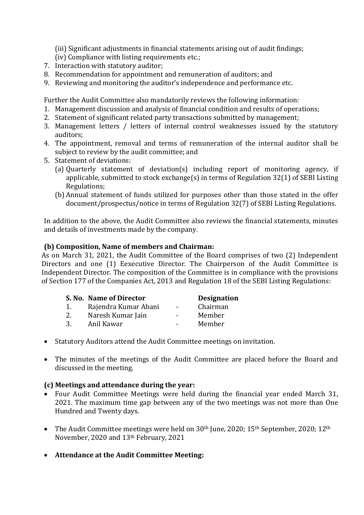(iii) Significant adjustments in financial statements arising out of audit findings;

- (iv) Compliance with listing requirements etc.;
- 7. Interaction with statutory auditor;
- 8. Recommendation for appointment and remuneration of auditors; and
- 9. Reviewing and monitoring the auditor's independence and performance etc.

Further the Audit Committee also mandatorily reviews the following information:

- 1. Management discussion and analysis of financial condition and results of operations;
- 2. Statement of significant related party transactions submitted by management;
- 3. Management letters / letters of internal control weaknesses issued by the statutory auditors;
- 4. The appointment, removal and terms of remuneration of the internal auditor shall be subject to review by the audit committee; and
- 5. Statement of deviations:
	- (a) Quarterly statement of deviation(s) including report of monitoring agency, if applicable, submitted to stock exchange(s) in terms of Regulation 32(1) of SEBI Listing Regulations;
	- (b) Annual statement of funds utilized for purposes other than those stated in the offer document/prospectus/notice in terms of Regulation 32(7) of SEBI Listing Regulations.

In addition to the above, the Audit Committee also reviews the financial statements, minutes and details of investments made by the company.

#### **(b) Composition, Name of members and Chairman:**

As on March 31, 2021, the Audit Committee of the Board comprises of two (2) Independent Directors and one (1) Eexecutive Director. The Chairperson of the Audit Committee is Independent Director. The composition of the Committee is in compliance with the provisions of Section 177 of the Companies Act, 2013 and Regulation 18 of the SEBI Listing Regulations:

|    | S. No. Name of Director |                          | <b>Designation</b> |
|----|-------------------------|--------------------------|--------------------|
| 1. | Rajendra Kumar Abani    | $\overline{\phantom{a}}$ | Chairman           |
| 2. | Naresh Kumar Jain       | $\blacksquare$           | Member             |
| 3. | Anil Kawar              | $\blacksquare$           | Member             |

- Statutory Auditors attend the Audit Committee meetings on invitation.
- The minutes of the meetings of the Audit Committee are placed before the Board and discussed in the meeting.

#### **(c) Meetings and attendance during the year:**

- Four Audit Committee Meetings were held during the financial year ended March 31, 2021. The maximum time gap between any of the two meetings was not more than One Hundred and Twenty days.
- The Audit Committee meetings were held on  $30<sup>th</sup>$  June, 2020;  $15<sup>th</sup>$  September, 2020;  $12<sup>th</sup>$ November, 2020 and 13th February, 2021
- **Attendance at the Audit Committee Meeting:**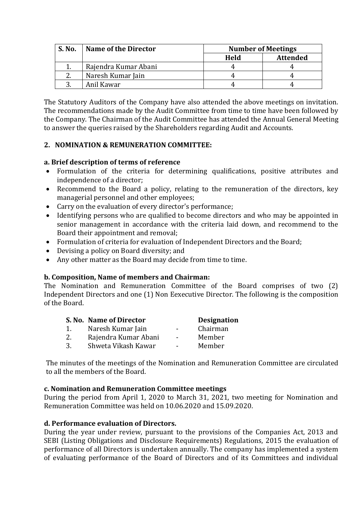| <b>S. No.</b> | Name of the Director | <b>Number of Meetings</b> |                 |  |
|---------------|----------------------|---------------------------|-----------------|--|
|               |                      | Held                      | <b>Attended</b> |  |
|               | Rajendra Kumar Abani |                           |                 |  |
|               | Naresh Kumar Jain    |                           |                 |  |
|               | Anil Kawar           |                           |                 |  |

The Statutory Auditors of the Company have also attended the above meetings on invitation. The recommendations made by the Audit Committee from time to time have been followed by the Company. The Chairman of the Audit Committee has attended the Annual General Meeting to answer the queries raised by the Shareholders regarding Audit and Accounts.

#### **2. NOMINATION & REMUNERATION COMMITTEE:**

#### **a. Brief description of terms of reference**

- Formulation of the criteria for determining qualifications, positive attributes and independence of a director;
- Recommend to the Board a policy, relating to the remuneration of the directors, key managerial personnel and other employees;
- Carry on the evaluation of every director's performance;
- Identifying persons who are qualified to become directors and who may be appointed in senior management in accordance with the criteria laid down, and recommend to the Board their appointment and removal;
- Formulation of criteria for evaluation of Independent Directors and the Board;
- Devising a policy on Board diversity; and
- Any other matter as the Board may decide from time to time.

#### **b. Composition, Name of members and Chairman:**

The Nomination and Remuneration Committee of the Board comprises of two (2) Independent Directors and one (1) Non Eexecutive Director. The following is the composition of the Board.

|     | S. No. Name of Director |                | <b>Designation</b> |
|-----|-------------------------|----------------|--------------------|
| 1.  | Naresh Kumar Jain       | $\blacksquare$ | Chairman           |
| -2. | Rajendra Kumar Abani    | $\blacksquare$ | Member             |
| 3.  | Shweta Vikash Kawar     | $\blacksquare$ | Member             |

The minutes of the meetings of the Nomination and Remuneration Committee are circulated to all the members of the Board.

#### **c. Nomination and Remuneration Committee meetings**

During the period from April 1, 2020 to March 31, 2021, two meeting for Nomination and Remuneration Committee was held on 10.06.2020 and 15.09.2020.

#### **d. Performance evaluation of Directors.**

During the year under review, pursuant to the provisions of the Companies Act, 2013 and SEBI (Listing Obligations and Disclosure Requirements) Regulations, 2015 the evaluation of performance of all Directors is undertaken annually. The company has implemented a system of evaluating performance of the Board of Directors and of its Committees and individual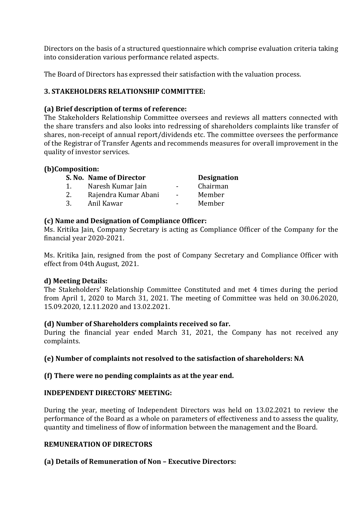Directors on the basis of a structured questionnaire which comprise evaluation criteria taking into consideration various performance related aspects.

The Board of Directors has expressed their satisfaction with the valuation process.

#### **3. STAKEHOLDERS RELATIONSHIP COMMITTEE:**

#### **(a) Brief description of terms of reference:**

The Stakeholders Relationship Committee oversees and reviews all matters connected with the share transfers and also looks into redressing of shareholders complaints like transfer of shares, non-receipt of annual report/dividends etc. The committee oversees the performance of the Registrar of Transfer Agents and recommends measures for overall improvement in the quality of investor services.

#### **(b)Composition:**

|     | S. No. Name of Director |                | <b>Designation</b> |
|-----|-------------------------|----------------|--------------------|
|     | Naresh Kumar Jain       | $\blacksquare$ | Chairman           |
| -2. | Rajendra Kumar Abani    | $\blacksquare$ | Member             |

3. Anil Kawar - Member

#### **(c) Name and Designation of Compliance Officer:**

Ms. Kritika Jain, Company Secretary is acting as Compliance Officer of the Company for the financial year 2020-2021.

Ms. Kritika Jain, resigned from the post of Company Secretary and Compliance Officer with effect from 04th August, 2021.

#### **d) Meeting Details:**

The Stakeholders' Relationship Committee Constituted and met 4 times during the period from April 1, 2020 to March 31, 2021. The meeting of Committee was held on 30.06.2020, 15.09.2020, 12.11.2020 and 13.02.2021.

#### **(d) Number of Shareholders complaints received so far.**

During the financial year ended March 31, 2021, the Company has not received any complaints.

#### **(e) Number of complaints not resolved to the satisfaction of shareholders: NA**

#### **(f) There were no pending complaints as at the year end.**

#### **INDEPENDENT DIRECTORS' MEETING:**

During the year, meeting of Independent Directors was held on 13.02.2021 to review the performance of the Board as a whole on parameters of effectiveness and to assess the quality, quantity and timeliness of flow of information between the management and the Board.

#### **REMUNERATION OF DIRECTORS**

#### **(a) Details of Remuneration of Non – Executive Directors:**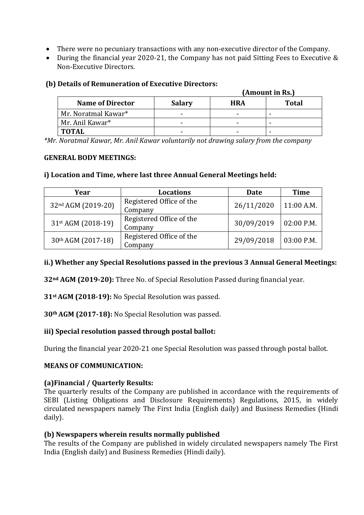- There were no pecuniary transactions with any non-executive director of the Company.
- During the financial year 2020-21, the Company has not paid Sitting Fees to Executive & Non-Executive Directors.

**(Amount in Rs.)** 

#### **(b) Details of Remuneration of Executive Directors:**

|                         | (Amount in Ks.) |     |              |
|-------------------------|-----------------|-----|--------------|
| <b>Name of Director</b> | <b>Salary</b>   | HRA | <b>Total</b> |
| Mr. Noratmal Kawar*     | -               |     | -            |
| Mr. Anil Kawar*         | -               | -   | -            |
| <b>TOTAL</b>            | -               |     | -            |

*\*Mr. Noratmal Kawar, Mr. Anil Kawar voluntarily not drawing salary from the company* 

#### **GENERAL BODY MEETINGS:**

#### **i) Location and Time, where last three Annual General Meetings held:**

| Year               | <b>Locations</b>                    | Date       | <b>Time</b> |
|--------------------|-------------------------------------|------------|-------------|
| 32nd AGM (2019-20) | Registered Office of the<br>Company | 26/11/2020 | 11:00 A.M.  |
| 31st AGM (2018-19) | Registered Office of the<br>Company | 30/09/2019 | 02:00 P.M.  |
| 30th AGM (2017-18) | Registered Office of the<br>Company | 29/09/2018 | 03:00 P.M.  |

#### **ii.) Whether any Special Resolutions passed in the previous 3 Annual General Meetings:**

**32nd AGM (2019-20):** Three No. of Special Resolution Passed during financial year.

**31st AGM (2018-19):** No Special Resolution was passed.

**30th AGM (2017-18):** No Special Resolution was passed.

#### **iii) Special resolution passed through postal ballot:**

During the financial year 2020-21 one Special Resolution was passed through postal ballot.

#### **MEANS OF COMMUNICATION:**

#### **(a)Financial / Quarterly Results:**

The quarterly results of the Company are published in accordance with the requirements of SEBI (Listing Obligations and Disclosure Requirements) Regulations, 2015, in widely circulated newspapers namely The First India (English daily) and Business Remedies (Hindi daily).

#### **(b) Newspapers wherein results normally published**

The results of the Company are published in widely circulated newspapers namely The First India (English daily) and Business Remedies (Hindi daily).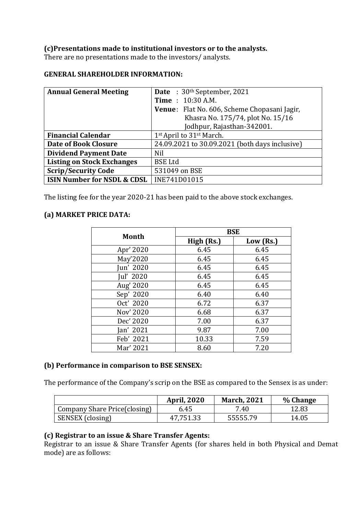### **(c)Presentations made to institutional investors or to the analysts.**

There are no presentations made to the investors/ analysts.

#### **GENERAL SHAREHOLDER INFORMATION:**

| <b>Annual General Meeting</b>          | <b>Date</b> : $30th$ September, 2021                 |  |
|----------------------------------------|------------------------------------------------------|--|
|                                        | <b>Time</b> : 10:30 A.M.                             |  |
|                                        | <b>Venue</b> : Flat No. 606, Scheme Chopasani Jagir, |  |
|                                        | Khasra No. 175/74, plot No. 15/16                    |  |
|                                        | Jodhpur, Rajasthan-342001.                           |  |
| <b>Financial Calendar</b>              | 1st April to 31st March.                             |  |
| <b>Date of Book Closure</b>            | 24.09.2021 to 30.09.2021 (both days inclusive)       |  |
| <b>Dividend Payment Date</b>           | Nil                                                  |  |
| <b>Listing on Stock Exchanges</b>      | <b>BSE Ltd</b>                                       |  |
| <b>Scrip/Security Code</b>             | 531049 on BSE                                        |  |
| <b>ISIN Number for NSDL &amp; CDSL</b> | INE741D01015                                         |  |

The listing fee for the year 2020-21 has been paid to the above stock exchanges.

#### **(a) MARKET PRICE DATA:**

|              |            | <b>BSE</b> |
|--------------|------------|------------|
| <b>Month</b> | High (Rs.) | Low (Rs.)  |
| Apr' 2020    | 6.45       | 6.45       |
| May'2020     | 6.45       | 6.45       |
| Jun' 2020    | 6.45       | 6.45       |
| Jul' 2020    | 6.45       | 6.45       |
| Aug' 2020    | 6.45       | 6.45       |
| Sep' 2020    | 6.40       | 6.40       |
| Oct' 2020    | 6.72       | 6.37       |
| Nov' 2020    | 6.68       | 6.37       |
| Dec' 2020    | 7.00       | 6.37       |
| Jan' 2021    | 9.87       | 7.00       |
| Feb' 2021    | 10.33      | 7.59       |
| Mar' 2021    | 8.60       | 7.20       |

#### **(b) Performance in comparison to BSE SENSEX:**

The performance of the Company's scrip on the BSE as compared to the Sensex is as under:

|                              | <b>April, 2020</b> | <b>March, 2021</b> | % Change |
|------------------------------|--------------------|--------------------|----------|
| Company Share Price(closing) | 6.45               | 7.40               | 12.83    |
| SENSEX (closing)             | 47,751.33          | 55555.79           | 14.05    |

#### **(c) Registrar to an issue & Share Transfer Agents:**

Registrar to an issue & Share Transfer Agents (for shares held in both Physical and Demat mode) are as follows: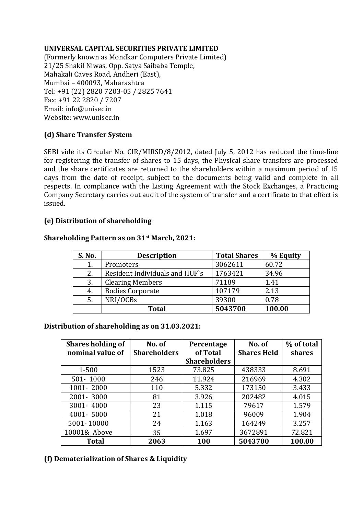#### **UNIVERSAL CAPITAL SECURITIES PRIVATE LIMITED**

(Formerly known as Mondkar Computers Private Limited) 21/25 Shakil Niwas, Opp. Satya Saibaba Temple, Mahakali Caves Road, Andheri (East), Mumbai – 400093, Maharashtra Tel: +91 (22) 2820 7203-05 / 2825 7641 Fax: +91 22 2820 / 7207 Email: info@unisec.in Website: www.unisec.in

### **(d) Share Transfer System**

SEBI vide its Circular No. CIR/MIRSD/8/2012, dated July 5, 2012 has reduced the time-line for registering the transfer of shares to 15 days, the Physical share transfers are processed and the share certificates are returned to the shareholders within a maximum period of 15 days from the date of receipt, subject to the documents being valid and complete in all respects. In compliance with the Listing Agreement with the Stock Exchanges, a Practicing Company Secretary carries out audit of the system of transfer and a certificate to that effect is issued.

#### **(e) Distribution of shareholding**

| S. No. | <b>Description</b>             | <b>Total Shares</b> | % Equity |
|--------|--------------------------------|---------------------|----------|
|        | Promoters                      | 3062611             | 60.72    |
| 2.     | Resident Individuals and HUF's | 1763421             | 34.96    |
| 3.     | <b>Clearing Members</b>        | 71189               | 1.41     |
| 4.     | <b>Bodies Corporate</b>        | 107179              | 2.13     |
| 5.     | NRI/OCBs                       | 39300               | 0.78     |
|        | <b>Total</b>                   | 5043700             | 100.00   |

#### **Shareholding Pattern as on 31st March, 2021:**

#### **Distribution of shareholding as on 31.03.2021:**

| <b>Shares holding of</b><br>nominal value of | No. of<br><b>Shareholders</b> | Percentage<br>of Total | No. of<br><b>Shares Held</b> | % of total<br>shares |
|----------------------------------------------|-------------------------------|------------------------|------------------------------|----------------------|
|                                              |                               | <b>Shareholders</b>    |                              |                      |
| 1-500                                        | 1523                          | 73.825                 | 438333                       | 8.691                |
| 501-1000                                     | 246                           | 11.924                 | 216969                       | 4.302                |
| 1001-2000                                    | 110                           | 5.332                  | 173150                       | 3.433                |
| 2001-3000                                    | 81                            | 3.926                  | 202482                       | 4.015                |
| 3001-4000                                    | 23                            | 1.115                  | 79617                        | 1.579                |
| 4001-5000                                    | 21                            | 1.018                  | 96009                        | 1.904                |
| 5001-10000                                   | 24                            | 1.163                  | 164249                       | 3.257                |
| 10001& Above                                 | 35                            | 1.697                  | 3672891                      | 72.821               |
| Total                                        | 2063                          | <b>100</b>             | 5043700                      | 100.00               |

#### **(f) Dematerialization of Shares & Liquidity**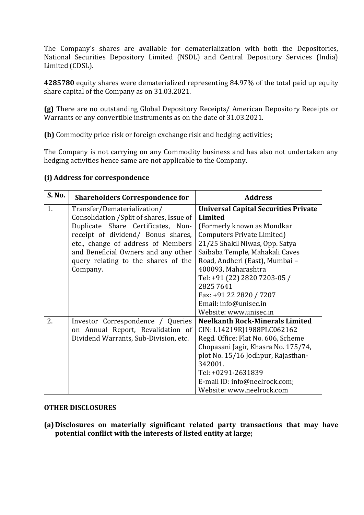The Company's shares are available for dematerialization with both the Depositories, National Securities Depository Limited (NSDL) and Central Depository Services (India) Limited (CDSL).

**4285780** equity shares were dematerialized representing 84.97% of the total paid up equity share capital of the Company as on 31.03.2021.

**(g)** There are no outstanding Global Depository Receipts/ American Depository Receipts or Warrants or any convertible instruments as on the date of 31.03.2021.

**(h)** Commodity price risk or foreign exchange risk and hedging activities;

The Company is not carrying on any Commodity business and has also not undertaken any hedging activities hence same are not applicable to the Company.

#### **(i) Address for correspondence**

| S. No. | <b>Shareholders Correspondence for</b>    | <b>Address</b>                              |
|--------|-------------------------------------------|---------------------------------------------|
| 1.     | Transfer/Dematerialization/               | <b>Universal Capital Securities Private</b> |
|        | Consolidation / Split of shares, Issue of | <b>Limited</b>                              |
|        | Duplicate Share Certificates, Non-        | (Formerly known as Mondkar                  |
|        | receipt of dividend/ Bonus shares,        | Computers Private Limited)                  |
|        | etc., change of address of Members        | 21/25 Shakil Niwas, Opp. Satya              |
|        | and Beneficial Owners and any other       | Saibaba Temple, Mahakali Caves              |
|        | query relating to the shares of the       | Road, Andheri (East), Mumbai -              |
|        | Company.                                  | 400093, Maharashtra                         |
|        |                                           | Tel: +91 (22) 2820 7203-05 /                |
|        |                                           | 2825 7641                                   |
|        |                                           | Fax: +91 22 2820 / 7207                     |
|        |                                           | Email: info@unisec.in                       |
|        |                                           | Website: www.unisec.in                      |
| 2.     | Investor Correspondence / Queries         | <b>Neelkanth Rock-Minerals Limited</b>      |
|        | on Annual Report, Revalidation of         | CIN: L14219RJ1988PLC062162                  |
|        | Dividend Warrants, Sub-Division, etc.     | Regd. Office: Flat No. 606, Scheme          |
|        |                                           | Chopasani Jagir, Khasra No. 175/74,         |
|        |                                           | plot No. 15/16 Jodhpur, Rajasthan-          |
|        |                                           | 342001.                                     |
|        |                                           | Tel: +0291-2631839                          |
|        |                                           | E-mail ID: info@neelrock.com;               |
|        |                                           | Website: www.neelrock.com                   |

#### **OTHER DISCLOSURES**

**(a) Disclosures on materially significant related party transactions that may have potential conflict with the interests of listed entity at large;**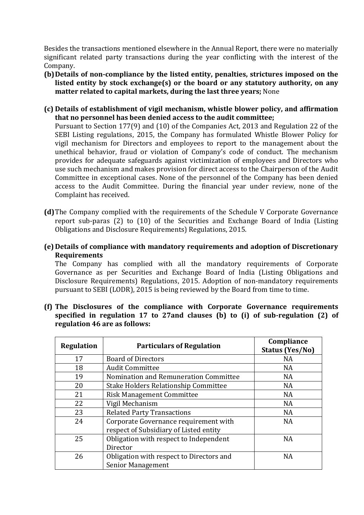Besides the transactions mentioned elsewhere in the Annual Report, there were no materially significant related party transactions during the year conflicting with the interest of the Company.

- **(b)Details of non-compliance by the listed entity, penalties, strictures imposed on the listed entity by stock exchange(s) or the board or any statutory authority, on any matter related to capital markets, during the last three years;** None
- **(c) Details of establishment of vigil mechanism, whistle blower policy, and affirmation that no personnel has been denied access to the audit committee;**

Pursuant to Section 177(9) and (10) of the Companies Act, 2013 and Regulation 22 of the SEBI Listing regulations, 2015, the Company has formulated Whistle Blower Policy for vigil mechanism for Directors and employees to report to the management about the unethical behavior, fraud or violation of Company's code of conduct. The mechanism provides for adequate safeguards against victimization of employees and Directors who use such mechanism and makes provision for direct access to the Chairperson of the Audit Committee in exceptional cases. None of the personnel of the Company has been denied access to the Audit Committee. During the financial year under review, none of the Complaint has received.

- **(d)**The Company complied with the requirements of the Schedule V Corporate Governance report sub-paras (2) to (10) of the Securities and Exchange Board of India (Listing Obligations and Disclosure Requirements) Regulations, 2015.
- **(e) Details of compliance with mandatory requirements and adoption of Discretionary Requirements**

The Company has complied with all the mandatory requirements of Corporate Governance as per Securities and Exchange Board of India (Listing Obligations and Disclosure Requirements) Regulations, 2015. Adoption of non-mandatory requirements pursuant to SEBI (LODR), 2015 is being reviewed by the Board from time to time.

**(f) The Disclosures of the compliance with Corporate Governance requirements specified in regulation 17 to 27and clauses (b) to (i) of sub-regulation (2) of regulation 46 are as follows:** 

| <b>Regulation</b> | <b>Particulars of Regulation</b>                                                | Compliance<br><b>Status (Yes/No)</b> |
|-------------------|---------------------------------------------------------------------------------|--------------------------------------|
| 17                | <b>Board of Directors</b>                                                       | <b>NA</b>                            |
| 18                | <b>Audit Committee</b>                                                          | NA                                   |
| 19                | Nomination and Remuneration Committee                                           | <b>NA</b>                            |
| 20                | <b>Stake Holders Relationship Committee</b>                                     | <b>NA</b>                            |
| 21                | <b>Risk Management Committee</b>                                                | <b>NA</b>                            |
| 22                | Vigil Mechanism                                                                 | <b>NA</b>                            |
| 23                | <b>Related Party Transactions</b>                                               | <b>NA</b>                            |
| 24                | Corporate Governance requirement with<br>respect of Subsidiary of Listed entity | <b>NA</b>                            |
| 25                | Obligation with respect to Independent                                          | <b>NA</b>                            |
|                   | Director                                                                        |                                      |
| 26                | Obligation with respect to Directors and                                        | <b>NA</b>                            |
|                   | <b>Senior Management</b>                                                        |                                      |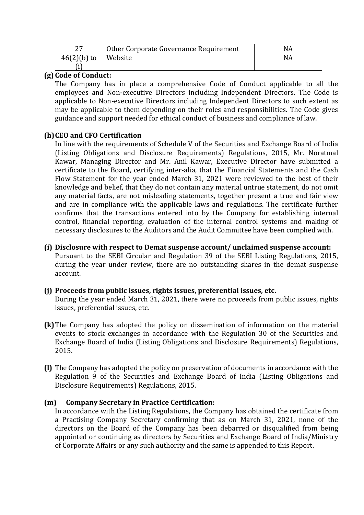| רי ר          | Other Corporate Governance Requirement |    |
|---------------|----------------------------------------|----|
| $46(2)(b)$ to | Website                                | NA |
|               |                                        |    |

### **(g) Code of Conduct:**

The Company has in place a comprehensive Code of Conduct applicable to all the employees and Non-executive Directors including Independent Directors. The Code is applicable to Non-executive Directors including Independent Directors to such extent as may be applicable to them depending on their roles and responsibilities. The Code gives guidance and support needed for ethical conduct of business and compliance of law.

## **(h)CEO and CFO Certification**

In line with the requirements of Schedule V of the Securities and Exchange Board of India (Listing Obligations and Disclosure Requirements) Regulations, 2015, Mr. Noratmal Kawar, Managing Director and Mr. Anil Kawar, Executive Director have submitted a certificate to the Board, certifying inter-alia, that the Financial Statements and the Cash Flow Statement for the year ended March 31, 2021 were reviewed to the best of their knowledge and belief, that they do not contain any material untrue statement, do not omit any material facts, are not misleading statements, together present a true and fair view and are in compliance with the applicable laws and regulations. The certificate further confirms that the transactions entered into by the Company for establishing internal control, financial reporting, evaluation of the internal control systems and making of necessary disclosures to the Auditors and the Audit Committee have been complied with.

#### **(i) Disclosure with respect to Demat suspense account/ unclaimed suspense account:**  Pursuant to the SEBI Circular and Regulation 39 of the SEBI Listing Regulations, 2015, during the year under review, there are no outstanding shares in the demat suspense

# account. **(j) Proceeds from public issues, rights issues, preferential issues, etc.**

During the year ended March 31, 2021, there were no proceeds from public issues, rights issues, preferential issues, etc.

- **(k)**The Company has adopted the policy on dissemination of information on the material events to stock exchanges in accordance with the Regulation 30 of the Securities and Exchange Board of India (Listing Obligations and Disclosure Requirements) Regulations, 2015.
- **(l)** The Company has adopted the policy on preservation of documents in accordance with the Regulation 9 of the Securities and Exchange Board of India (Listing Obligations and Disclosure Requirements) Regulations, 2015.

### **(m) Company Secretary in Practice Certification:**

In accordance with the Listing Regulations, the Company has obtained the certificate from a Practising Company Secretary confirming that as on March 31, 2021, none of the directors on the Board of the Company has been debarred or disqualified from being appointed or continuing as directors by Securities and Exchange Board of India/Ministry of Corporate Affairs or any such authority and the same is appended to this Report.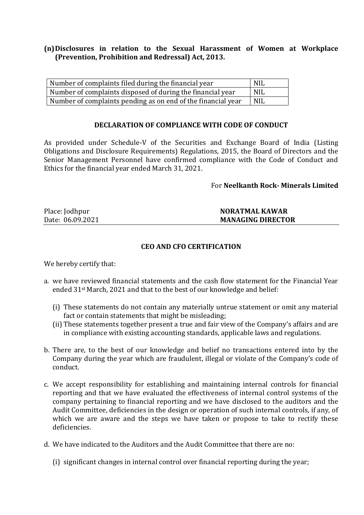#### **(n)Disclosures in relation to the Sexual Harassment of Women at Workplace (Prevention, Prohibition and Redressal) Act, 2013.**

| Number of complaints filed during the financial year         | <b>NIL</b> |
|--------------------------------------------------------------|------------|
| Number of complaints disposed of during the financial year   | <b>NIL</b> |
| Number of complaints pending as on end of the financial year | NIL        |

#### **DECLARATION OF COMPLIANCE WITH CODE OF CONDUCT**

As provided under Schedule-V of the Securities and Exchange Board of India (Listing Obligations and Disclosure Requirements) Regulations, 2015, the Board of Directors and the Senior Management Personnel have confirmed compliance with the Code of Conduct and Ethics for the financial year ended March 31, 2021.

#### For **Neelkanth Rock- Minerals Limited**

| Place: Jodhpur   | <b>NORATMAL KAWAR</b>    |
|------------------|--------------------------|
| Date: 06.09.2021 | <b>MANAGING DIRECTOR</b> |

#### **CEO AND CFO CERTIFICATION**

We hereby certify that:

- a. we have reviewed financial statements and the cash flow statement for the Financial Year ended 31st March, 2021 and that to the best of our knowledge and belief:
	- (i) These statements do not contain any materially untrue statement or omit any material fact or contain statements that might be misleading;
	- (ii) These statements together present a true and fair view of the Company's affairs and are in compliance with existing accounting standards, applicable laws and regulations.
- b. There are, to the best of our knowledge and belief no transactions entered into by the Company during the year which are fraudulent, illegal or violate of the Company's code of conduct.
- c. We accept responsibility for establishing and maintaining internal controls for financial reporting and that we have evaluated the effectiveness of internal control systems of the company pertaining to financial reporting and we have disclosed to the auditors and the Audit Committee, deficiencies in the design or operation of such internal controls, if any, of which we are aware and the steps we have taken or propose to take to rectify these deficiencies.
- d. We have indicated to the Auditors and the Audit Committee that there are no:
	- (i) significant changes in internal control over financial reporting during the year;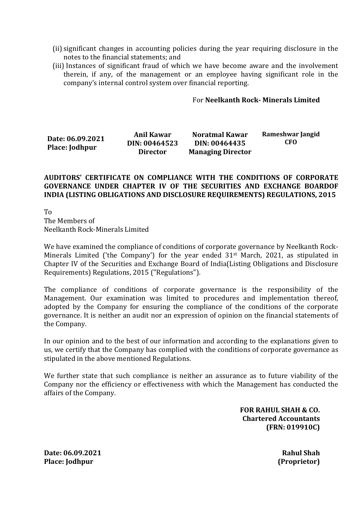- (ii) significant changes in accounting policies during the year requiring disclosure in the notes to the financial statements; and
- (iii) Instances of significant fraud of which we have become aware and the involvement therein, if any, of the management or an employee having significant role in the company's internal control system over financial reporting.

#### For **Neelkanth Rock- Minerals Limited**

| <b>Anil Kawar</b> | Noratmal Kawar           | Rameshwar Jangid |
|-------------------|--------------------------|------------------|
| DIN: 00464523     | DIN: 00464435            | <b>CFO</b>       |
| <b>Director</b>   | <b>Managing Director</b> |                  |
|                   |                          |                  |

#### **AUDITORS' CERTIFICATE ON COMPLIANCE WITH THE CONDITIONS OF CORPORATE GOVERNANCE UNDER CHAPTER IV OF THE SECURITIES AND EXCHANGE BOARDOF INDIA (LISTING OBLIGATIONS AND DISCLOSURE REQUIREMENTS) REGULATIONS, 2015**

To The Members of Neelkanth Rock-Minerals Limited

We have examined the compliance of conditions of corporate governance by Neelkanth Rock-Minerals Limited ('the Company') for the year ended 31st March, 2021, as stipulated in Chapter IV of the Securities and Exchange Board of India(Listing Obligations and Disclosure Requirements) Regulations, 2015 ("Regulations").

The compliance of conditions of corporate governance is the responsibility of the Management. Our examination was limited to procedures and implementation thereof, adopted by the Company for ensuring the compliance of the conditions of the corporate governance. It is neither an audit nor an expression of opinion on the financial statements of the Company.

In our opinion and to the best of our information and according to the explanations given to us, we certify that the Company has complied with the conditions of corporate governance as stipulated in the above mentioned Regulations.

We further state that such compliance is neither an assurance as to future viability of the Company nor the efficiency or effectiveness with which the Management has conducted the affairs of the Company.

> **FOR RAHUL SHAH & CO. Chartered Accountants (FRN: 019910C)**

> > **Rahul Shah (Proprietor)**

**Date: 06.09.2021 Place: Jodhpur**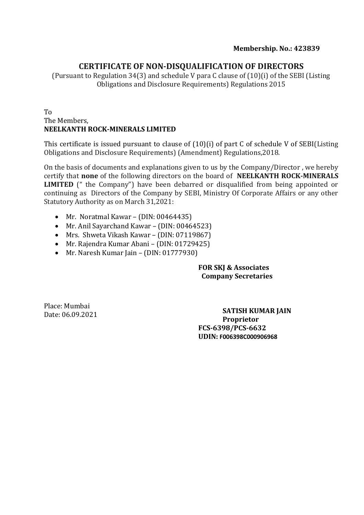## **CERTIFICATE OF NON-DISQUALIFICATION OF DIRECTORS**

(Pursuant to Regulation 34(3) and schedule V para C clause of (10)(i) of the SEBI (Listing Obligations and Disclosure Requirements) Regulations 2015

#### To The Members, **NEELKANTH ROCK-MINERALS LIMITED**

This certificate is issued pursuant to clause of (10)(i) of part C of schedule V of SEBI(Listing Obligations and Disclosure Requirements) (Amendment) Regulations,2018.

On the basis of documents and explanations given to us by the Company/Director , we hereby certify that **none** of the following directors on the board of **NEELKANTH ROCK-MINERALS LIMITED** (" the Company") have been debarred or disqualified from being appointed or continuing as Directors of the Company by SEBI, Ministry Of Corporate Affairs or any other Statutory Authority as on March 31,2021:

- Mr. Noratmal Kawar (DIN: 00464435)
- Mr. Anil Sayarchand Kawar (DIN: 00464523)
- Mrs. Shweta Vikash Kawar (DIN: 07119867)
- Mr. Rajendra Kumar Abani (DIN: 01729425)
- Mr. Naresh Kumar Jain (DIN: 01777930)

**FOR SKJ & Associates Company Secretaries** 

Place: Mumbai Date: 06.09.2021

 **SATISH KUMAR JAIN Proprietor FCS-6398/PCS-6632 UDIN: F006398C000906968**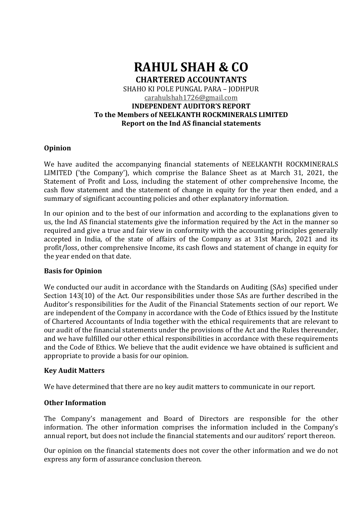## **RAHUL SHAH & CO CHARTERED ACCOUNTANTS**  SHAHO KI POLE PUNGAL PARA – JODHPUR [carahulshah1726@gmail.com](mailto:carahulshah1726@gmail.com) **INDEPENDENT AUDITOR'S REPORT To the Members of NEELKANTH ROCKMINERALS LIMITED Report on the Ind AS financial statements**

#### **Opinion**

We have audited the accompanying financial statements of NEELKANTH ROCKMINERALS LIMITED ('the Company'), which comprise the Balance Sheet as at March 31, 2021, the Statement of Profit and Loss, including the statement of other comprehensive Income, the cash flow statement and the statement of change in equity for the year then ended, and a summary of significant accounting policies and other explanatory information.

In our opinion and to the best of our information and according to the explanations given to us, the Ind AS financial statements give the information required by the Act in the manner so required and give a true and fair view in conformity with the accounting principles generally accepted in India, of the state of affairs of the Company as at 31st March, 2021 and its profit/loss, other comprehensive Income, its cash flows and statement of change in equity for the year ended on that date.

#### **Basis for Opinion**

We conducted our audit in accordance with the Standards on Auditing (SAs) specified under Section 143(10) of the Act. Our responsibilities under those SAs are further described in the Auditor's responsibilities for the Audit of the Financial Statements section of our report. We are independent of the Company in accordance with the Code of Ethics issued by the Institute of Chartered Accountants of India together with the ethical requirements that are relevant to our audit of the financial statements under the provisions of the Act and the Rules thereunder, and we have fulfilled our other ethical responsibilities in accordance with these requirements and the Code of Ethics. We believe that the audit evidence we have obtained is sufficient and appropriate to provide a basis for our opinion.

#### **Key Audit Matters**

We have determined that there are no key audit matters to communicate in our report.

#### **Other Information**

The Company's management and Board of Directors are responsible for the other information. The other information comprises the information included in the Company's annual report, but does not include the financial statements and our auditors' report thereon.

Our opinion on the financial statements does not cover the other information and we do not express any form of assurance conclusion thereon.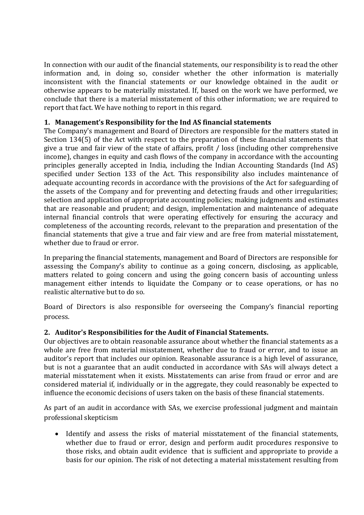In connection with our audit of the financial statements, our responsibility is to read the other information and, in doing so, consider whether the other information is materially inconsistent with the financial statements or our knowledge obtained in the audit or otherwise appears to be materially misstated. If, based on the work we have performed, we conclude that there is a material misstatement of this other information; we are required to report that fact. We have nothing to report in this regard.

#### **1. Management's Responsibility for the Ind AS financial statements**

The Company's management and Board of Directors are responsible for the matters stated in Section 134(5) of the Act with respect to the preparation of these financial statements that give a true and fair view of the state of affairs, profit / loss (including other comprehensive income), changes in equity and cash flows of the company in accordance with the accounting principles generally accepted in India, including the Indian Accounting Standards (Ind AS) specified under Section 133 of the Act. This responsibility also includes maintenance of adequate accounting records in accordance with the provisions of the Act for safeguarding of the assets of the Company and for preventing and detecting frauds and other irregularities; selection and application of appropriate accounting policies; making judgments and estimates that are reasonable and prudent; and design, implementation and maintenance of adequate internal financial controls that were operating effectively for ensuring the accuracy and completeness of the accounting records, relevant to the preparation and presentation of the financial statements that give a true and fair view and are free from material misstatement, whether due to fraud or error.

In preparing the financial statements, management and Board of Directors are responsible for assessing the Company's ability to continue as a going concern, disclosing, as applicable, matters related to going concern and using the going concern basis of accounting unless management either intends to liquidate the Company or to cease operations, or has no realistic alternative but to do so.

Board of Directors is also responsible for overseeing the Company's financial reporting process.

#### **2. Auditor's Responsibilities for the Audit of Financial Statements.**

Our objectives are to obtain reasonable assurance about whether the financial statements as a whole are free from material misstatement, whether due to fraud or error, and to issue an auditor's report that includes our opinion. Reasonable assurance is a high level of assurance, but is not a guarantee that an audit conducted in accordance with SAs will always detect a material misstatement when it exists. Misstatements can arise from fraud or error and are considered material if, individually or in the aggregate, they could reasonably be expected to influence the economic decisions of users taken on the basis of these financial statements.

As part of an audit in accordance with SAs, we exercise professional judgment and maintain professional skepticism

 Identify and assess the risks of material misstatement of the financial statements, whether due to fraud or error, design and perform audit procedures responsive to those risks, and obtain audit evidence that is sufficient and appropriate to provide a basis for our opinion. The risk of not detecting a material misstatement resulting from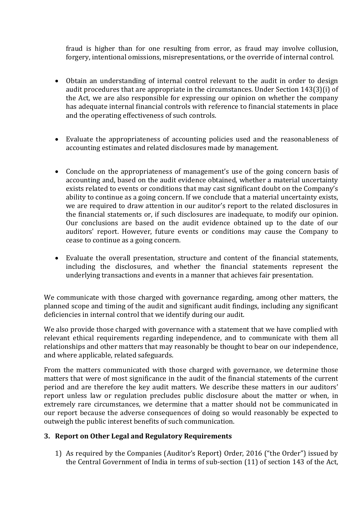fraud is higher than for one resulting from error, as fraud may involve collusion, forgery, intentional omissions, misrepresentations, or the override of internal control.

- Obtain an understanding of internal control relevant to the audit in order to design audit procedures that are appropriate in the circumstances. Under Section 143(3)(i) of the Act, we are also responsible for expressing our opinion on whether the company has adequate internal financial controls with reference to financial statements in place and the operating effectiveness of such controls.
- Evaluate the appropriateness of accounting policies used and the reasonableness of accounting estimates and related disclosures made by management.
- Conclude on the appropriateness of management's use of the going concern basis of accounting and, based on the audit evidence obtained, whether a material uncertainty exists related to events or conditions that may cast significant doubt on the Company's ability to continue as a going concern. If we conclude that a material uncertainty exists, we are required to draw attention in our auditor's report to the related disclosures in the financial statements or, if such disclosures are inadequate, to modify our opinion. Our conclusions are based on the audit evidence obtained up to the date of our auditors' report. However, future events or conditions may cause the Company to cease to continue as a going concern.
- Evaluate the overall presentation, structure and content of the financial statements, including the disclosures, and whether the financial statements represent the underlying transactions and events in a manner that achieves fair presentation.

We communicate with those charged with governance regarding, among other matters, the planned scope and timing of the audit and significant audit findings, including any significant deficiencies in internal control that we identify during our audit.

We also provide those charged with governance with a statement that we have complied with relevant ethical requirements regarding independence, and to communicate with them all relationships and other matters that may reasonably be thought to bear on our independence, and where applicable, related safeguards.

From the matters communicated with those charged with governance, we determine those matters that were of most significance in the audit of the financial statements of the current period and are therefore the key audit matters. We describe these matters in our auditors' report unless law or regulation precludes public disclosure about the matter or when, in extremely rare circumstances, we determine that a matter should not be communicated in our report because the adverse consequences of doing so would reasonably be expected to outweigh the public interest benefits of such communication.

### **3. Report on Other Legal and Regulatory Requirements**

1) As required by the Companies (Auditor's Report) Order, 2016 ("the Order") issued by the Central Government of India in terms of sub-section (11) of section 143 of the Act,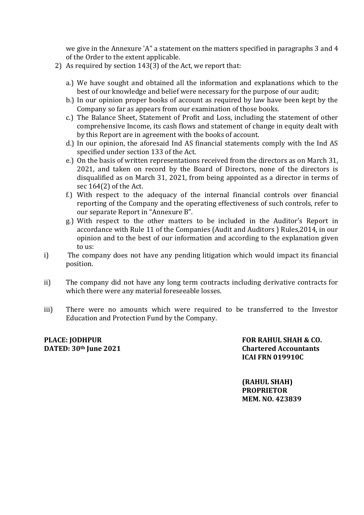we give in the Annexure 'A" a statement on the matters specified in paragraphs 3 and 4 of the Order to the extent applicable.

- 2) As required by section 143(3) of the Act, we report that:
	- a.) We have sought and obtained all the information and explanations which to the best of our knowledge and belief were necessary for the purpose of our audit;
	- b.) In our opinion proper books of account as required by law have been kept by the Company so far as appears from our examination of those books.
	- c.) The Balance Sheet, Statement of Profit and Loss, including the statement of other comprehensive Income, its cash flows and statement of change in equity dealt with by this Report are in agreement with the books of account.
	- d.) In our opinion, the aforesaid Ind AS financial statements comply with the Ind AS specified under section 133 of the Act.
	- e.) On the basis of written representations received from the directors as on March 31, 2021, and taken on record by the Board of Directors, none of the directors is disqualified as on March 31, 2021, from being appointed as a director in terms of sec 164(2) of the Act.
	- f.) With respect to the adequacy of the internal financial controls over financial reporting of the Company and the operating effectiveness of such controls, refer to our separate Report in "Annexure B".
	- g.) With respect to the other matters to be included in the Auditor's Report in accordance with Rule 11 of the Companies (Audit and Auditors ) Rules,2014, in our opinion and to the best of our information and according to the explanation given to us:
- i) The company does not have any pending litigation which would impact its financial position.
- ii) The company did not have any long term contracts including derivative contracts for which there were any material foreseeable losses.
- iii) There were no amounts which were required to be transferred to the Investor Education and Protection Fund by the Company.

**PLACE: JODHPUR FOR RAHUL SHAH & CO. DATED:**  $30$ <sup>th</sup> June 2021 Chartered Accountants  **ICAI FRN 019910C** 

> **(RAHUL SHAH) PROPRIETOR MEM. NO. 423839**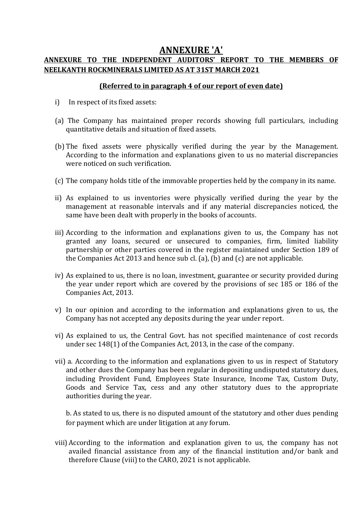## **ANNEXURE 'A'**

## **ANNEXURE TO THE INDEPENDENT AUDITORS' REPORT TO THE MEMBERS OF NEELKANTH ROCKMINERALS LIMITED AS AT 31ST MARCH 2021**

#### **(Referred to in paragraph 4 of our report of even date)**

- i) In respect of its fixed assets:
- (a) The Company has maintained proper records showing full particulars, including quantitative details and situation of fixed assets.
- (b) The fixed assets were physically verified during the year by the Management. According to the information and explanations given to us no material discrepancies were noticed on such verification.
- (c) The company holds title of the immovable properties held by the company in its name.
- ii) As explained to us inventories were physically verified during the year by the management at reasonable intervals and if any material discrepancies noticed, the same have been dealt with properly in the books of accounts.
- iii) According to the information and explanations given to us, the Company has not granted any loans, secured or unsecured to companies, firm, limited liability partnership or other parties covered in the register maintained under Section 189 of the Companies Act 2013 and hence sub cl. (a), (b) and (c) are not applicable.
- iv) As explained to us, there is no loan, investment, guarantee or security provided during the year under report which are covered by the provisions of sec 185 or 186 of the Companies Act, 2013.
- v) In our opinion and according to the information and explanations given to us, the Company has not accepted any deposits during the year under report.
- vi) As explained to us, the Central Govt. has not specified maintenance of cost records under sec 148(1) of the Companies Act, 2013, in the case of the company.
- vii) a. According to the information and explanations given to us in respect of Statutory and other dues the Company has been regular in depositing undisputed statutory dues, including Provident Fund, Employees State Insurance, Income Tax, Custom Duty, Goods and Service Tax, cess and any other statutory dues to the appropriate authorities during the year.

b. As stated to us, there is no disputed amount of the statutory and other dues pending for payment which are under litigation at any forum.

viii) According to the information and explanation given to us, the company has not availed financial assistance from any of the financial institution and/or bank and therefore Clause (viii) to the CARO, 2021 is not applicable.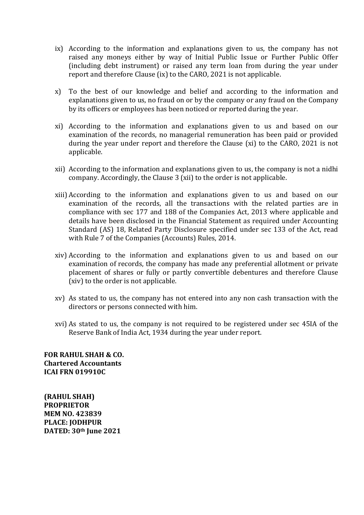- ix) According to the information and explanations given to us, the company has not raised any moneys either by way of Initial Public Issue or Further Public Offer (including debt instrument) or raised any term loan from during the year under report and therefore Clause (ix) to the CARO, 2021 is not applicable.
- x) To the best of our knowledge and belief and according to the information and explanations given to us, no fraud on or by the company or any fraud on the Company by its officers or employees has been noticed or reported during the year.
- xi) According to the information and explanations given to us and based on our examination of the records, no managerial remuneration has been paid or provided during the year under report and therefore the Clause (xi) to the CARO, 2021 is not applicable.
- xii) According to the information and explanations given to us, the company is not a nidhi company. Accordingly, the Clause 3 (xii) to the order is not applicable.
- xiii) According to the information and explanations given to us and based on our examination of the records, all the transactions with the related parties are in compliance with sec 177 and 188 of the Companies Act, 2013 where applicable and details have been disclosed in the Financial Statement as required under Accounting Standard (AS) 18, Related Party Disclosure specified under sec 133 of the Act, read with Rule 7 of the Companies (Accounts) Rules, 2014.
- xiv) According to the information and explanations given to us and based on our examination of records, the company has made any preferential allotment or private placement of shares or fully or partly convertible debentures and therefore Clause (xiv) to the order is not applicable.
- xv) As stated to us, the company has not entered into any non cash transaction with the directors or persons connected with him.
- xvi) As stated to us, the company is not required to be registered under sec 45IA of the Reserve Bank of India Act, 1934 during the year under report.

**FOR RAHUL SHAH & CO. Chartered Accountants ICAI FRN 019910C** 

**(RAHUL SHAH) PROPRIETOR MEM NO. 423839 PLACE: JODHPUR DATED: 30th June 2021**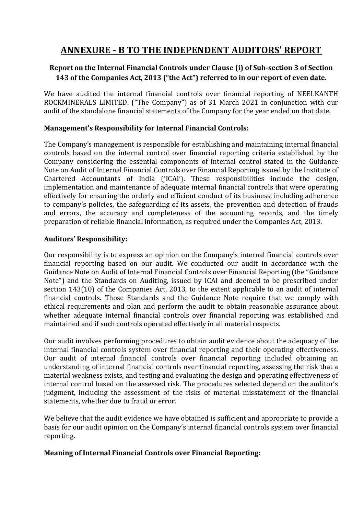## **ANNEXURE - B TO THE INDEPENDENT AUDITORS' REPORT**

## **Report on the Internal Financial Controls under Clause (i) of Sub-section 3 of Section 143 of the Companies Act, 2013 ("the Act") referred to in our report of even date.**

We have audited the internal financial controls over financial reporting of NEELKANTH ROCKMINERALS LIMITED. ("The Company") as of 31 March 2021 in conjunction with our audit of the standalone financial statements of the Company for the year ended on that date.

#### **Management's Responsibility for Internal Financial Controls:**

The Company's management is responsible for establishing and maintaining internal financial controls based on the internal control over financial reporting criteria established by the Company considering the essential components of internal control stated in the Guidance Note on Audit of Internal Financial Controls over Financial Reporting issued by the Institute of Chartered Accountants of India ('ICAI'). These responsibilities include the design, implementation and maintenance of adequate internal financial controls that were operating effectively for ensuring the orderly and efficient conduct of its business, including adherence to company's policies, the safeguarding of its assets, the prevention and detection of frauds and errors, the accuracy and completeness of the accounting records, and the timely preparation of reliable financial information, as required under the Companies Act, 2013.

#### **Auditors' Responsibility:**

Our responsibility is to express an opinion on the Company's internal financial controls over financial reporting based on our audit. We conducted our audit in accordance with the Guidance Note on Audit of Internal Financial Controls over Financial Reporting (the "Guidance Note") and the Standards on Auditing, issued by ICAI and deemed to be prescribed under section 143(10) of the Companies Act, 2013, to the extent applicable to an audit of internal financial controls. Those Standards and the Guidance Note require that we comply with ethical requirements and plan and perform the audit to obtain reasonable assurance about whether adequate internal financial controls over financial reporting was established and maintained and if such controls operated effectively in all material respects.

Our audit involves performing procedures to obtain audit evidence about the adequacy of the internal financial controls system over financial reporting and their operating effectiveness. Our audit of internal financial controls over financial reporting included obtaining an understanding of internal financial controls over financial reporting, assessing the risk that a material weakness exists, and testing and evaluating the design and operating effectiveness of internal control based on the assessed risk. The procedures selected depend on the auditor's judgment, including the assessment of the risks of material misstatement of the financial statements, whether due to fraud or error.

We believe that the audit evidence we have obtained is sufficient and appropriate to provide a basis for our audit opinion on the Company's internal financial controls system over financial reporting.

#### **Meaning of Internal Financial Controls over Financial Reporting:**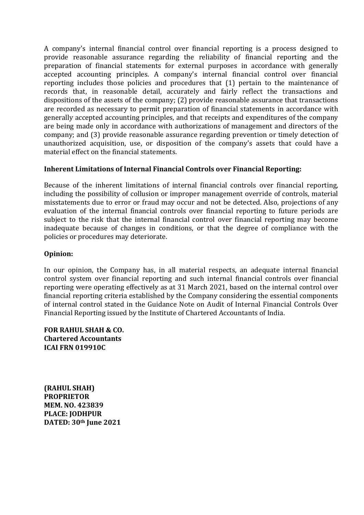A company's internal financial control over financial reporting is a process designed to provide reasonable assurance regarding the reliability of financial reporting and the preparation of financial statements for external purposes in accordance with generally accepted accounting principles. A company's internal financial control over financial reporting includes those policies and procedures that (1) pertain to the maintenance of records that, in reasonable detail, accurately and fairly reflect the transactions and dispositions of the assets of the company; (2) provide reasonable assurance that transactions are recorded as necessary to permit preparation of financial statements in accordance with generally accepted accounting principles, and that receipts and expenditures of the company are being made only in accordance with authorizations of management and directors of the company; and (3) provide reasonable assurance regarding prevention or timely detection of unauthorized acquisition, use, or disposition of the company's assets that could have a material effect on the financial statements.

#### **Inherent Limitations of Internal Financial Controls over Financial Reporting:**

Because of the inherent limitations of internal financial controls over financial reporting, including the possibility of collusion or improper management override of controls, material misstatements due to error or fraud may occur and not be detected. Also, projections of any evaluation of the internal financial controls over financial reporting to future periods are subject to the risk that the internal financial control over financial reporting may become inadequate because of changes in conditions, or that the degree of compliance with the policies or procedures may deteriorate.

#### **Opinion:**

In our opinion, the Company has, in all material respects, an adequate internal financial control system over financial reporting and such internal financial controls over financial reporting were operating effectively as at 31 March 2021, based on the internal control over financial reporting criteria established by the Company considering the essential components of internal control stated in the Guidance Note on Audit of Internal Financial Controls Over Financial Reporting issued by the Institute of Chartered Accountants of India.

**FOR RAHUL SHAH & CO. Chartered Accountants ICAI FRN 019910C** 

**(RAHUL SHAH) PROPRIETOR MEM. NO. 423839 PLACE: JODHPUR DATED: 30th June 2021**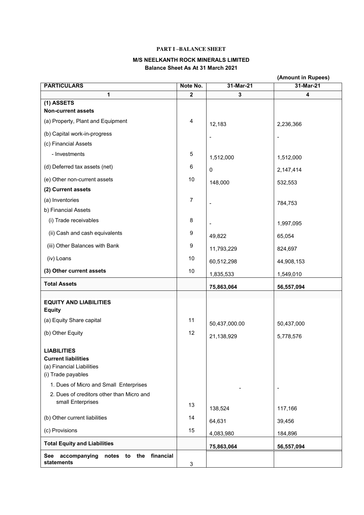#### **PART I –BALANCE SHEET**

#### **M/S NEELKANTH ROCK MINERALS LIMITED Balance Sheet As At 31 March 2021**

|                                                         |                  |                          | (Amount in Rupees) |
|---------------------------------------------------------|------------------|--------------------------|--------------------|
| <b>PARTICULARS</b>                                      | Note No.         | 31-Mar-21                | 31-Mar-21          |
| 1                                                       | $\mathbf 2$      | 3                        | 4                  |
| (1) ASSETS<br><b>Non-current assets</b>                 |                  |                          |                    |
| (a) Property, Plant and Equipment                       | 4                | 12,183                   | 2,236,366          |
| (b) Capital work-in-progress                            |                  | $\overline{\phantom{a}}$ | $\overline{a}$     |
| (c) Financial Assets                                    |                  |                          |                    |
| - Investments                                           | 5                | 1,512,000                | 1,512,000          |
| (d) Deferred tax assets (net)                           | 6                | $\pmb{0}$                | 2,147,414          |
| (e) Other non-current assets                            | 10               | 148,000                  | 532,553            |
| (2) Current assets                                      |                  |                          |                    |
| (a) Inventories                                         | $\overline{7}$   |                          | 784,753            |
| b) Financial Assets                                     |                  |                          |                    |
| (i) Trade receivables                                   | 8                |                          | 1,997,095          |
| (ii) Cash and cash equivalents                          | $\boldsymbol{9}$ | 49,822                   | 65,054             |
| (iii) Other Balances with Bank                          | $\boldsymbol{9}$ | 11,793,229               | 824,697            |
| (iv) Loans                                              | 10               | 60,512,298               | 44,908,153         |
| (3) Other current assets                                | 10               | 1,835,533                | 1,549,010          |
| <b>Total Assets</b>                                     |                  | 75,863,064               | 56,557,094         |
| <b>EQUITY AND LIABILITIES</b>                           |                  |                          |                    |
| <b>Equity</b>                                           |                  |                          |                    |
| (a) Equity Share capital                                | 11               | 50,437,000.00            | 50,437,000         |
| (b) Other Equity                                        | 12               | 21,138,929               | 5,778,576          |
| <b>LIABILITIES</b>                                      |                  |                          |                    |
| <b>Current liabilities</b><br>(a) Financial Liabilities |                  |                          |                    |
| (i) Trade payables                                      |                  |                          |                    |
| 1. Dues of Micro and Small Enterprises                  |                  |                          |                    |
| 2. Dues of creditors other than Micro and               |                  |                          |                    |
| small Enterprises                                       | 13               | 138,524                  | 117,166            |
| (b) Other current liabilities                           | 14               | 64,631                   | 39,456             |
| (c) Provisions                                          | 15               | 4,083,980                | 184,896            |
| <b>Total Equity and Liabilities</b>                     |                  | 75,863,064               | 56,557,094         |
| accompanying<br>to the financial<br>See<br>notes        |                  |                          |                    |
| statements                                              | 3                |                          |                    |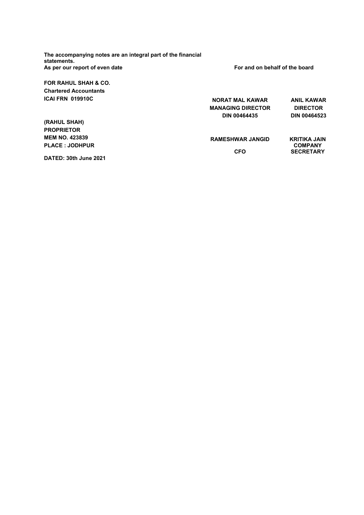**The accompanying notes are an integral part of the financial statements.**  As per our report of even date **For and on behalf of the board For and on behalf of the board** 

| <b>FOR RAHUL SHAH &amp; CO.</b> |                          |                     |
|---------------------------------|--------------------------|---------------------|
| <b>Chartered Accountants</b>    |                          |                     |
| <b>ICAI FRN 019910C</b>         | <b>NORAT MAL KAWAR</b>   | <b>ANIL KAWAR</b>   |
|                                 | <b>MANAGING DIRECTOR</b> | <b>DIRECTOR</b>     |
|                                 | DIN 00464435             | <b>DIN 00464523</b> |
| (RAHUL SHAH)                    |                          |                     |
| <b>PROPRIETOR</b>               |                          |                     |
| <b>MEM NO. 423839</b>           | <b>RAMESHWAR JANGID</b>  | <b>KRITIKA JAIN</b> |
| <b>PLACE: JODHPUR</b>           |                          | <b>COMPANY</b>      |
|                                 | <b>CFO</b>               | <b>SECRETARY</b>    |
| DATED: 30th June 2021           |                          |                     |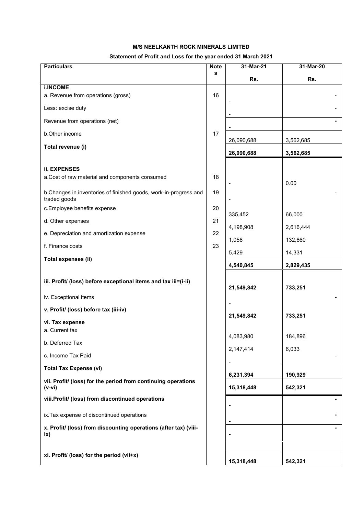#### **M/S NEELKANTH ROCK MINERALS LIMITED**

#### **Statement of Profit and Loss for the year ended 31 March 2021**

| <b>Particulars</b>                                                                | <b>Note</b> | 31-Mar-21                | 31-Mar-20 |
|-----------------------------------------------------------------------------------|-------------|--------------------------|-----------|
|                                                                                   | s           | Rs.                      | Rs.       |
| <b>i.INCOME</b>                                                                   |             |                          |           |
| a. Revenue from operations (gross)                                                | 16          | $\overline{\phantom{a}}$ |           |
| Less: excise duty                                                                 |             |                          |           |
| Revenue from operations (net)                                                     |             |                          |           |
| b.Other income                                                                    | 17          | 26,090,688               | 3,562,685 |
| Total revenue (i)                                                                 |             |                          |           |
|                                                                                   |             | 26,090,688               | 3,562,685 |
| <b>ii. EXPENSES</b>                                                               |             |                          |           |
| a.Cost of raw material and components consumed                                    | 18          |                          | 0.00      |
| b. Changes in inventories of finished goods, work-in-progress and<br>traded goods | 19          |                          |           |
| c.Employee benefits expense                                                       | 20          |                          |           |
| d. Other expenses                                                                 | 21          | 335,452                  | 66,000    |
|                                                                                   |             | 4,198,908                | 2,616,444 |
| e. Depreciation and amortization expense                                          | 22          | 1,056                    | 132,660   |
| f. Finance costs                                                                  | 23          | 5,429                    | 14,331    |
| Total expenses (ii)                                                               |             | 4,540,845                | 2,829,435 |
|                                                                                   |             |                          |           |
| iii. Profit/ (loss) before exceptional items and tax iii=(i-ii)                   |             |                          |           |
| iv. Exceptional items                                                             |             | 21,549,842               | 733,251   |
|                                                                                   |             |                          |           |
| v. Profit/ (loss) before tax (iii-iv)                                             |             | 21,549,842               | 733,251   |
| vi. Tax expense                                                                   |             |                          |           |
| a. Current tax                                                                    |             | 4,083,980                | 184,896   |
| b. Deferred Tax                                                                   |             | 2,147,414                | 6,033     |
| c. Income Tax Paid                                                                |             |                          |           |
| <b>Total Tax Expense (vi)</b>                                                     |             | 6,231,394                | 190,929   |
| vii. Profit/ (loss) for the period from continuing operations<br>$(v-vi)$         |             | 15,318,448               | 542,321   |
| viii.Profit/ (loss) from discontinued operations                                  |             |                          |           |
|                                                                                   |             |                          |           |
| ix. Tax expense of discontinued operations                                        |             |                          |           |
| x. Profit/ (loss) from discounting operations (after tax) (viii-                  |             |                          |           |
| ix)                                                                               |             |                          |           |
|                                                                                   |             |                          |           |
| xi. Profit/ (loss) for the period (vii+x)                                         |             | 15,318,448               | 542,321   |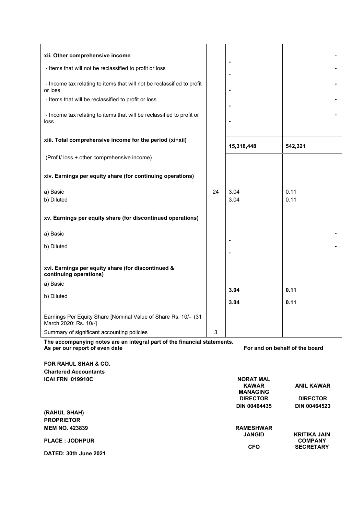| xii. Other comprehensive income                                                                            |    | $\overline{\phantom{a}}$ |                                |
|------------------------------------------------------------------------------------------------------------|----|--------------------------|--------------------------------|
| - Items that will not be reclassified to profit or loss                                                    |    | ٠                        |                                |
| - Income tax relating to items that will not be reclassified to profit<br>or loss                          |    |                          |                                |
| - Items that will be reclassified to profit or loss                                                        |    |                          |                                |
| - Income tax relating to items that will be reclassified to profit or<br>loss                              |    |                          |                                |
| xiii. Total comprehensive income for the period (xi+xii)                                                   |    | 15,318,448               | 542,321                        |
| (Profit/ loss + other comprehensive income)                                                                |    |                          |                                |
| xiv. Earnings per equity share (for continuing operations)                                                 |    |                          |                                |
| a) Basic                                                                                                   | 24 | 3.04                     | 0.11                           |
| b) Diluted                                                                                                 |    | 3.04                     | 0.11                           |
| xv. Earnings per equity share (for discontinued operations)                                                |    |                          |                                |
| a) Basic                                                                                                   |    |                          |                                |
| b) Diluted                                                                                                 |    |                          |                                |
|                                                                                                            |    |                          |                                |
| xvi. Earnings per equity share (for discontinued &<br>continuing operations)                               |    |                          |                                |
| a) Basic                                                                                                   |    |                          |                                |
| b) Diluted                                                                                                 |    | 3.04                     | 0.11                           |
|                                                                                                            |    | 3.04                     | 0.11                           |
| Earnings Per Equity Share [Nominal Value of Share Rs. 10/- (31<br>March 2020: Rs. 10/-]                    |    |                          |                                |
| Summary of significant accounting policies                                                                 | 3  |                          |                                |
| The accompanying notes are an integral part of the financial statements.<br>As per our report of even date |    |                          | For and on behalf of the board |

**FOR RAHUL SHAH & CO. Chartered Accountants ICAI FRN** 019910C NORAT MAL

| IVAI FRIY VIJJUV      | NURAI WAL           |                     |
|-----------------------|---------------------|---------------------|
|                       | <b>KAWAR</b>        | <b>ANIL KAWAR</b>   |
|                       | <b>MANAGING</b>     |                     |
|                       | <b>DIRECTOR</b>     | <b>DIRECTOR</b>     |
|                       | <b>DIN 00464435</b> | <b>DIN 00464523</b> |
| (RAHUL SHAH)          |                     |                     |
| <b>PROPRIETOR</b>     |                     |                     |
| <b>MEM NO. 423839</b> | <b>RAMESHWAR</b>    |                     |
|                       | <b>JANGID</b>       | <b>KRITIKA JAIN</b> |
| <b>PLACE: JODHPUR</b> |                     | <b>COMPANY</b>      |
|                       | <b>CFO</b>          | <b>SECRETARY</b>    |
| DATED: 30th June 2021 |                     |                     |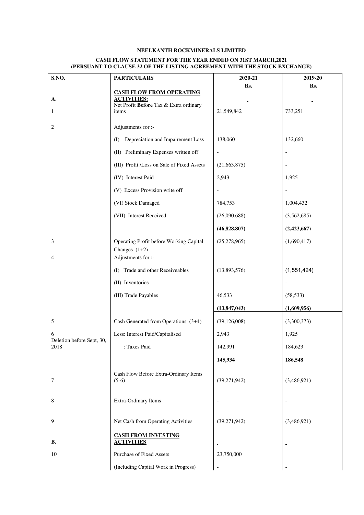#### **NEELKANTH ROCKMINERALS LIMITED**

#### **CASH FLOW STATEMENT FOR THE YEAR ENDED ON 31ST MARCH,2021 (PERSUANT TO CLAUSE 32 OF THE LISTING AGREEMENT WITH THE STOCK EXCHANGE)**

| S.NO.                             | <b>PARTICULARS</b>                                                                              | 2020-21        | 2019-20     |
|-----------------------------------|-------------------------------------------------------------------------------------------------|----------------|-------------|
|                                   |                                                                                                 | Rs.            | Rs.         |
| A.                                | <b>CASH FLOW FROM OPERATING</b><br><b>ACTIVITIES:</b><br>Net Profit Before Tax & Extra ordinary |                |             |
| 1                                 | items                                                                                           | 21,549,842     | 733,251     |
| 2                                 | Adjustments for :-                                                                              |                |             |
|                                   | Depreciation and Impairement Loss<br>(I)                                                        | 138,060        | 132,660     |
|                                   | (II) Preliminary Expenses written off                                                           |                |             |
|                                   | (III) Profit /Loss on Sale of Fixed Assets                                                      | (21,663,875)   |             |
|                                   | (IV) Interest Paid                                                                              | 2,943          | 1,925       |
|                                   | (V) Excess Provision write off                                                                  |                |             |
|                                   | (VI) Stock Damaged                                                                              | 784,753        | 1,004,432   |
|                                   | (VII) Interest Received                                                                         | (26,090,688)   | (3,562,685) |
|                                   |                                                                                                 | (46,828,807)   | (2,423,667) |
| 3                                 | Operating Profit before Working Capital                                                         | (25, 278, 965) | (1,690,417) |
| $\overline{4}$                    | Changes $(1+2)$<br>Adjustments for :-                                                           |                |             |
|                                   | (I) Trade and other Receiveables                                                                | (13,893,576)   | (1,551,424) |
|                                   | (II) Inventories                                                                                |                |             |
|                                   | (III) Trade Payables                                                                            | 46,533         | (58, 533)   |
|                                   |                                                                                                 | (13, 847, 043) | (1,609,956) |
| 5                                 | Cash Generated from Operations (3+4)                                                            | (39, 126, 008) | (3,300,373) |
|                                   | Less: Interest Paid/Capitalised                                                                 | 2,943          | 1,925       |
| Deletion before Sept, 30,<br>2018 | : Taxes Paid                                                                                    | 142,991        | 184,623     |
|                                   |                                                                                                 | 145,934        | 186,548     |
| 7                                 | Cash Flow Before Extra-Ordinary Items<br>$(5-6)$                                                | (39,271,942)   | (3,486,921) |
| 8                                 | Extra-Ordinary Items                                                                            |                |             |
| 9                                 | Net Cash from Operating Activities                                                              | (39,271,942)   | (3,486,921) |
| <b>B.</b>                         | <b>CASH FROM INVESTING</b><br><b>ACTIVITIES</b>                                                 |                |             |
| 10                                | Purchase of Fixed Assets                                                                        | 23,750,000     |             |
|                                   | (Including Capital Work in Progress)                                                            |                |             |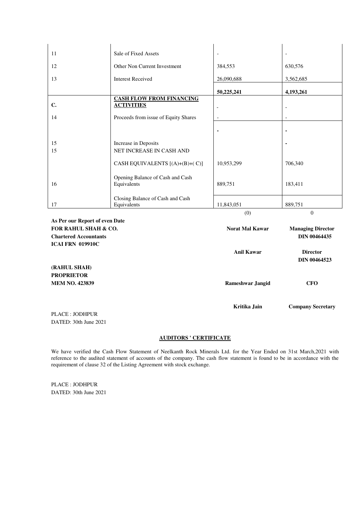| 11 | Sale of Fixed Assets                                 | $\overline{\phantom{a}}$ |                          |
|----|------------------------------------------------------|--------------------------|--------------------------|
| 12 | Other Non Current Investment                         | 384,553                  | 630,576                  |
| 13 | <b>Interest Received</b>                             | 26,090,688               | 3,562,685                |
|    |                                                      | 50,225,241               | 4,193,261                |
| C. | <b>CASH FLOW FROM FINANCING</b><br><b>ACTIVITIES</b> |                          | $\blacksquare$           |
| 14 | Proceeds from issue of Equity Shares                 | $\overline{\phantom{a}}$ | $\overline{\phantom{a}}$ |
|    |                                                      |                          | ٠                        |
| 15 | Increase in Deposits                                 |                          |                          |
| 15 | NET INCREASE IN CASH AND                             |                          |                          |
|    | CASH EQUIVALENTS [(A)+(B)+(C)]                       | 10,953,299               | 706,340                  |
| 16 | Opening Balance of Cash and Cash<br>Equivalents      | 889,751                  | 183,411                  |
|    | Closing Balance of Cash and Cash                     |                          |                          |
| 17 | Equivalents                                          | 11,843,051               | 889,751                  |
|    |                                                      | (0)                      | $\mathbf{0}$             |

**As Per our Report of even Date ICAI FRN 019910C** 

**(RAHUL SHAH) PROPRIETOR** 

**FOR RAHUL SHAH & CO.** Norat Mal Kawar Managing Director **Chartered Accountants DIN 00464435 Anil Kawar Director DIN 00464523 MEM NO. 423839 Rameshwar Jangid CFO Kritika Jain Company Secretary** 

PLACE : JODHPUR DATED: 30th June 2021

#### **AUDITORS ' CERTIFICATE**

We have verified the Cash Flow Statement of Neelkanth Rock Minerals Ltd. for the Year Ended on 31st March,2021 with reference to the audited statement of accounts of the company. The cash flow statement is found to be in accordance with the requirement of clause 32 of the Listing Agreement with stock exchange.

PLACE : JODHPUR DATED: 30th June 2021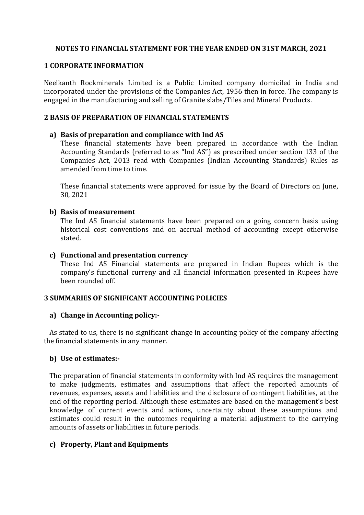#### **NOTES TO FINANCIAL STATEMENT FOR THE YEAR ENDED ON 31ST MARCH, 2021**

#### **1 CORPORATE INFORMATION**

Neelkanth Rockminerals Limited is a Public Limited company domiciled in India and incorporated under the provisions of the Companies Act, 1956 then in force. The company is engaged in the manufacturing and selling of Granite slabs/Tiles and Mineral Products.

#### **2 BASIS OF PREPARATION OF FINANCIAL STATEMENTS**

#### **a) Basis of preparation and compliance with Ind AS**

These financial statements have been prepared in accordance with the Indian Accounting Standards (referred to as "Ind AS") as prescribed under section 133 of the Companies Act, 2013 read with Companies (Indian Accounting Standards) Rules as amended from time to time.

These financial statements were approved for issue by the Board of Directors on June, 30, 2021

#### **b) Basis of measurement**

The Ind AS financial statements have been prepared on a going concern basis using historical cost conventions and on accrual method of accounting except otherwise stated.

#### **c) Functional and presentation currency**

These Ind AS Financial statements are prepared in Indian Rupees which is the company's functional curreny and all financial information presented in Rupees have been rounded off.

#### **3 SUMMARIES OF SIGNIFICANT ACCOUNTING POLICIES**

#### **a) Change in Accounting policy:-**

As stated to us, there is no significant change in accounting policy of the company affecting the financial statements in any manner.

#### **b) Use of estimates:-**

The preparation of financial statements in conformity with Ind AS requires the management to make judgments, estimates and assumptions that affect the reported amounts of revenues, expenses, assets and liabilities and the disclosure of contingent liabilities, at the end of the reporting period. Although these estimates are based on the management's best knowledge of current events and actions, uncertainty about these assumptions and estimates could result in the outcomes requiring a material adjustment to the carrying amounts of assets or liabilities in future periods.

#### **c) Property, Plant and Equipments**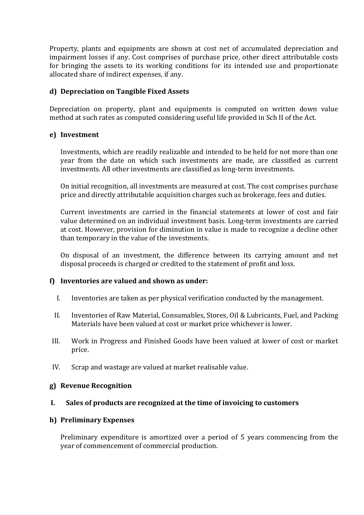Property, plants and equipments are shown at cost net of accumulated depreciation and impairment losses if any. Cost comprises of purchase price, other direct attributable costs for bringing the assets to its working conditions for its intended use and proportionate allocated share of indirect expenses, if any.

#### **d) Depreciation on Tangible Fixed Assets**

Depreciation on property, plant and equipments is computed on written down value method at such rates as computed considering useful life provided in Sch II of the Act.

#### **e) Investment**

Investments, which are readily realizable and intended to be held for not more than one year from the date on which such investments are made, are classified as current investments. All other investments are classified as long-term investments.

On initial recognition, all investments are measured at cost. The cost comprises purchase price and directly attributable acquisition charges such as brokerage, fees and duties.

Current investments are carried in the financial statements at lower of cost and fair value determined on an individual investment basis. Long-term investments are carried at cost. However, provision for diminution in value is made to recognize a decline other than temporary in the value of the investments.

On disposal of an investment, the difference between its carrying amount and net disposal proceeds is charged or credited to the statement of profit and loss.

#### **f) Inventories are valued and shown as under:**

- I. Inventories are taken as per physical verification conducted by the management.
- II. Inventories of Raw Material, Consumables, Stores, Oil & Lubricants, Fuel, and Packing Materials have been valued at cost or market price whichever is lower.
- III. Work in Progress and Finished Goods have been valued at lower of cost or market price.
- IV. Scrap and wastage are valued at market realisable value.

#### **g) Revenue Recognition**

#### **I. Sales of products are recognized at the time of invoicing to customers**

#### **h) Preliminary Expenses**

Preliminary expenditure is amortized over a period of 5 years commencing from the year of commencement of commercial production.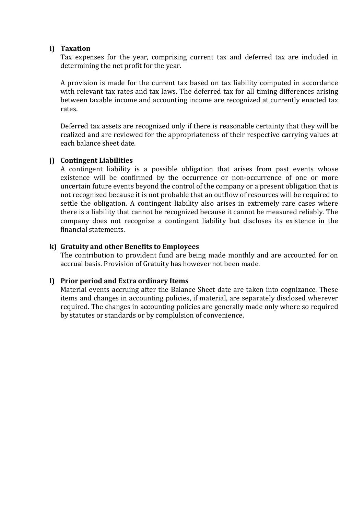#### **i) Taxation**

Tax expenses for the year, comprising current tax and deferred tax are included in determining the net profit for the year.

A provision is made for the current tax based on tax liability computed in accordance with relevant tax rates and tax laws. The deferred tax for all timing differences arising between taxable income and accounting income are recognized at currently enacted tax rates.

Deferred tax assets are recognized only if there is reasonable certainty that they will be realized and are reviewed for the appropriateness of their respective carrying values at each balance sheet date.

#### **j) Contingent Liabilities**

A contingent liability is a possible obligation that arises from past events whose existence will be confirmed by the occurrence or non-occurrence of one or more uncertain future events beyond the control of the company or a present obligation that is not recognized because it is not probable that an outflow of resources will be required to settle the obligation. A contingent liability also arises in extremely rare cases where there is a liability that cannot be recognized because it cannot be measured reliably. The company does not recognize a contingent liability but discloses its existence in the financial statements.

#### **k) Gratuity and other Benefits to Employees**

The contribution to provident fund are being made monthly and are accounted for on accrual basis. Provision of Gratuity has however not been made.

#### **l) Prior period and Extra ordinary Items**

Material events accruing after the Balance Sheet date are taken into cognizance. These items and changes in accounting policies, if material, are separately disclosed wherever required. The changes in accounting policies are generally made only where so required by statutes or standards or by complulsion of convenience.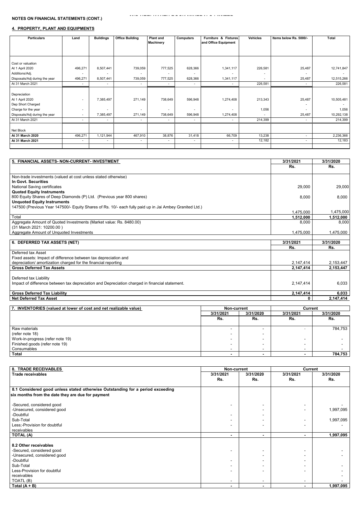#### **NOTES ON FINANCIAL STATEMENTS (CONT.)**

#### **4. PROPERTY, PLANT AND EQUIPMENTS**

| <b>Particulars</b>            | Land                     | <b>Buildings</b>         | <b>Office Building</b>   | <b>Plant and</b><br><b>Machinery</b> | <b>Computers</b>         | Furniture & Fixtures<br>and Office Equipment | Vehicles                 | Items below Rs. 5000/-   | Total      |
|-------------------------------|--------------------------|--------------------------|--------------------------|--------------------------------------|--------------------------|----------------------------------------------|--------------------------|--------------------------|------------|
|                               |                          |                          |                          |                                      |                          |                                              |                          |                          |            |
| Cost or valuation             |                          |                          |                          |                                      |                          |                                              |                          |                          |            |
| At 1 April 2020               | 496,271                  | 8,507,441                | 739,059                  | 777,525                              | 628,366                  | 1,341,117                                    | 226,581                  | 25,487                   | 12,741,847 |
| Additions/Adj.                |                          |                          |                          | $\overline{a}$                       |                          |                                              |                          | $\overline{\phantom{a}}$ |            |
| Disposals/Adj during the year | 496,271                  | 8,507,441                | 739,059                  | 777,525                              | 628,366                  | 1,341,117                                    | $\blacksquare$           | 25,487                   | 12,515,266 |
| At 31 March 2021              | $\overline{\phantom{a}}$ | $\overline{\phantom{a}}$ | $\overline{\phantom{0}}$ | $\overline{\phantom{a}}$             | $\overline{\phantom{a}}$ | $\overline{\phantom{a}}$                     | 226,581                  | $\overline{\phantom{a}}$ | 226,581    |
|                               |                          |                          |                          |                                      |                          |                                              |                          |                          |            |
| Depreciation                  |                          |                          |                          |                                      |                          |                                              |                          |                          |            |
| At 1 April 2020               | $\overline{\phantom{a}}$ | 7,385,497                | 271,149                  | 738,649                              | 596,948                  | 1,274,408                                    | 213,343                  | 25,487                   | 10,505,481 |
| Dep Short Charged             |                          |                          |                          |                                      |                          |                                              |                          |                          |            |
| Charge for the year           |                          | $\overline{\phantom{0}}$ |                          |                                      |                          |                                              | 1,056                    |                          | 1,056      |
| Disposals/Adj during the year | $\overline{\phantom{a}}$ | 7,385,497                | 271,149                  | 738,649                              | 596,948                  | 1,274,408                                    | $\overline{\phantom{a}}$ | 25,487                   | 10,292,138 |
| At 31 March 2021              |                          | ٠                        |                          |                                      |                          |                                              | 214,399                  | $\overline{\phantom{a}}$ | 214,399    |
|                               |                          |                          |                          |                                      |                          |                                              |                          |                          |            |
| Net Block                     |                          |                          |                          |                                      |                          |                                              |                          |                          |            |
| At 31 March 2020              | 496,271                  | 1,121,944                | 467,910                  | 38,876                               | 31,418                   | 66,709                                       | 13,238                   | $\blacksquare$           | 2,236,366  |
| At 31 March 2021              | $\overline{\phantom{a}}$ | $\overline{\phantom{a}}$ | $\overline{\phantom{a}}$ | $\overline{\phantom{a}}$             | $\overline{\phantom{a}}$ | $\overline{\phantom{a}}$                     | 12,182                   | $\overline{\phantom{a}}$ | 12,183     |
|                               |                          |                          |                          |                                      |                          |                                              |                          |                          |            |

| Rs.<br>Rs.<br>Non-trade investments (valued at cost unless stated otherwise)<br>In Govt. Securities<br><b>National Saving certificates</b><br>29,000<br><b>Quoted Equity Instruments</b><br>800 Equity Shares of Deep Diamonds (P) Ltd. (Previous year 800 shares)<br>8,000<br><b>Unquoted Equity Instruments</b><br>147500 (Previous Year 147500/- Equity Shares of Rs. 10/- each fully paid up in Jai Ambey Granited Ltd.) | 3/31/2021<br>3/31/2020 |
|------------------------------------------------------------------------------------------------------------------------------------------------------------------------------------------------------------------------------------------------------------------------------------------------------------------------------------------------------------------------------------------------------------------------------|------------------------|
|                                                                                                                                                                                                                                                                                                                                                                                                                              |                        |
|                                                                                                                                                                                                                                                                                                                                                                                                                              |                        |
|                                                                                                                                                                                                                                                                                                                                                                                                                              |                        |
|                                                                                                                                                                                                                                                                                                                                                                                                                              |                        |
|                                                                                                                                                                                                                                                                                                                                                                                                                              | 29,000                 |
|                                                                                                                                                                                                                                                                                                                                                                                                                              |                        |
|                                                                                                                                                                                                                                                                                                                                                                                                                              | 8,000                  |
|                                                                                                                                                                                                                                                                                                                                                                                                                              |                        |
|                                                                                                                                                                                                                                                                                                                                                                                                                              |                        |
| 1.475.000                                                                                                                                                                                                                                                                                                                                                                                                                    | 1,475,000              |
| Total<br>1,512,000                                                                                                                                                                                                                                                                                                                                                                                                           | 1,512,000              |
| Aggregate Amount of Quoted Investments (Market value: Rs. 8480.00)<br>8.000                                                                                                                                                                                                                                                                                                                                                  | 8,000                  |
| (31 March 2021: 10200.00)                                                                                                                                                                                                                                                                                                                                                                                                    |                        |
| Aggregate Amount of Unquoted Investments<br>1,475,000                                                                                                                                                                                                                                                                                                                                                                        | 1,475,000              |
|                                                                                                                                                                                                                                                                                                                                                                                                                              |                        |
| 6. DEFERRED TAX ASSETS (NET)<br>3/31/2021<br>3/31/2020                                                                                                                                                                                                                                                                                                                                                                       |                        |
| Rs.<br>Rs.                                                                                                                                                                                                                                                                                                                                                                                                                   |                        |
| Deferred tax Asset                                                                                                                                                                                                                                                                                                                                                                                                           |                        |
| Fixed assets: Impact of difference between tax depreciation and                                                                                                                                                                                                                                                                                                                                                              |                        |
| depreciation/ amortization charged for the financial reporting<br>2,147,414                                                                                                                                                                                                                                                                                                                                                  | 2,153,447              |
| 2,147,414<br><b>Gross Deferred Tax Assets</b>                                                                                                                                                                                                                                                                                                                                                                                | 2.153.447              |
|                                                                                                                                                                                                                                                                                                                                                                                                                              |                        |
| Deferred tax Liability                                                                                                                                                                                                                                                                                                                                                                                                       |                        |
| Impact of difference between tax depreciation and Depreciation charged in financial statement.<br>2,147,414                                                                                                                                                                                                                                                                                                                  | 6,033                  |
|                                                                                                                                                                                                                                                                                                                                                                                                                              |                        |
| 2,147,414<br><b>Gross Deferred Tax Liability</b>                                                                                                                                                                                                                                                                                                                                                                             | 6.033                  |
| <b>Net Deferred Tax Asset</b><br>0                                                                                                                                                                                                                                                                                                                                                                                           | 2,147,414              |
| $ \cdots$ $ \cdots$ $ \cdots$ $\cdots$ $\cdots$<br>.<br>$\mathbf{r}$<br>$\sim$                                                                                                                                                                                                                                                                                                                                               |                        |

| . INVENTORIES (valued at lower of cost and net realizable value). | Non-current              |           | Current   |           |  |
|-------------------------------------------------------------------|--------------------------|-----------|-----------|-----------|--|
|                                                                   | 3/31/2021                | 3/31/2020 | 3/31/2021 | 3/31/2020 |  |
|                                                                   | Rs.                      | Rs.       | Rs.       | Rs.       |  |
|                                                                   |                          |           |           |           |  |
| Raw materials                                                     |                          |           |           | 784,753   |  |
| (refer note 18)                                                   |                          |           |           |           |  |
| Work-in-progress (refer note 19)                                  | $\overline{\phantom{0}}$ |           |           |           |  |
| Finished goods (refer note 19)                                    | $\overline{\phantom{0}}$ |           |           |           |  |
| Consumables                                                       |                          |           |           |           |  |
| Total                                                             |                          |           |           | 784,753   |  |

| <b>TRADE RECEIVABLES</b><br>8.                                                 | Non-current |           | <b>Current</b> |           |  |
|--------------------------------------------------------------------------------|-------------|-----------|----------------|-----------|--|
| <b>Trade receivables</b>                                                       | 3/31/2021   | 3/31/2020 | 3/31/2021      | 3/31/2020 |  |
|                                                                                | Rs.         | Rs.       | Rs.            | Rs.       |  |
| 8.1 Considered good unless stated otherwise Outstanding for a period exceeding |             |           |                |           |  |
| six months from the date they are due for payment                              |             |           |                |           |  |
| -Secured, considered good                                                      |             |           |                |           |  |
| -Unsecured, considered good                                                    |             |           |                | 1,997,095 |  |
| -Doubtful                                                                      |             |           |                |           |  |
| Sub-Total                                                                      |             |           |                | 1,997,095 |  |
| Less;-Provision for doubtful                                                   |             |           |                |           |  |
| receivables                                                                    |             |           |                |           |  |
| TOTAL (A)                                                                      |             |           | ۰.             | 1,997,095 |  |
|                                                                                |             |           |                |           |  |
| 8.2 Other receivables                                                          |             |           |                |           |  |
| -Secured, considered good                                                      |             |           |                |           |  |
| -Unsecured, considered good                                                    |             |           |                |           |  |
| -Doubtful                                                                      |             |           |                |           |  |
| Sub-Total                                                                      |             |           |                |           |  |
| Less-Provision for doubtful                                                    |             |           |                |           |  |
| receivables                                                                    |             |           |                |           |  |
| TOATL (B)                                                                      |             |           |                |           |  |
| Total $(A + B)$                                                                |             |           |                | 1,997,095 |  |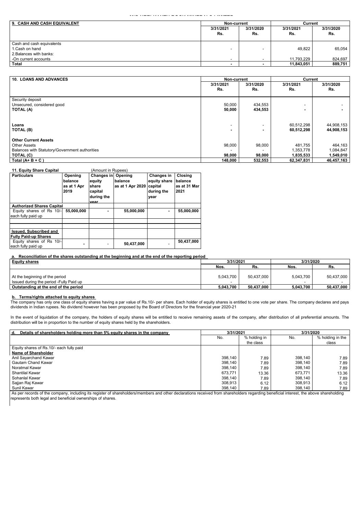| 9. CASH AND CASH EQUIVALENT | Non-current |           | Current    |           |
|-----------------------------|-------------|-----------|------------|-----------|
|                             | 3/31/2021   | 3/31/2020 | 3/31/2021  | 3/31/2020 |
|                             | Rs.         | Rs.       | Rs.        | Rs.       |
|                             |             |           |            |           |
| Cash and cash equivalents   |             |           |            |           |
| 1. Cash on hand             |             |           | 49.822     | 65,054    |
| 2. Balances with banks:     |             |           |            |           |
| -On current accounts        |             |           | 11,793,229 | 824,697   |
| Total                       |             |           | 11,843,051 | 889,751   |

| <b>10. LOANS AND ADVANCES</b>                  | Non-current |           |            | Current    |  |
|------------------------------------------------|-------------|-----------|------------|------------|--|
|                                                | 3/31/2021   | 3/31/2020 | 3/31/2021  | 3/31/2020  |  |
|                                                | Rs.         | Rs.       | Rs.        | Rs.        |  |
|                                                |             |           |            |            |  |
| Security deposit                               |             |           |            |            |  |
| Unsecured, considered good                     | 50,000      | 434,553   |            |            |  |
| TOTAL (A)                                      | 50,000      | 434.553   |            |            |  |
|                                                |             |           |            |            |  |
|                                                |             |           |            |            |  |
| Loans                                          |             | ۰         | 60,512,298 | 44,908,153 |  |
| TOTAL (B)                                      | ۰           | ۰         | 60,512,298 | 44,908,153 |  |
|                                                |             |           |            |            |  |
| <b>Other Current Assets</b>                    |             |           |            |            |  |
| <b>Other Assets</b>                            | 98,000      | 98,000    | 481,755    | 464,163    |  |
| Balances with Statutory/Government authorities |             |           | 1,353,778  | 1,084,847  |  |
| TOTAL (C)                                      | 98,000      | 98,000    | 1,835,533  | 1,549,010  |  |
| Total $(A + B + C)$                            | 148,000     | 532.553   | 62,347,831 | 46,457,163 |  |

#### **11. Equity Share Capital** (Amount in Rupees)

| <b>Particulars</b>               | Opening<br>balance<br>as at 1 Apr<br>2019 | <b>Changes in Opening</b><br>equity<br><b>Ishare</b><br>capital<br>during the<br>vear | balance<br>as at 1 Apr 2020 capital | Changes in<br>equity share<br>during the<br>year | Closing<br>balance<br>as at 31 Mar<br>2021 |
|----------------------------------|-------------------------------------------|---------------------------------------------------------------------------------------|-------------------------------------|--------------------------------------------------|--------------------------------------------|
| <b>Authorized Shares Capital</b> |                                           |                                                                                       |                                     |                                                  |                                            |
| Equity shares of Rs 10/-         | 55,000,000                                |                                                                                       | 55,000,000                          |                                                  | 55,000,000                                 |
| each fully paid up               |                                           |                                                                                       |                                     |                                                  |                                            |
|                                  |                                           |                                                                                       |                                     |                                                  |                                            |
|                                  |                                           |                                                                                       |                                     |                                                  |                                            |
| <b>Issued, Subscribed and</b>    |                                           |                                                                                       |                                     |                                                  |                                            |
| <b>Fully Paid-up Shares</b>      |                                           |                                                                                       |                                     |                                                  |                                            |
| Equity shares of Rs 10/-         |                                           |                                                                                       |                                     |                                                  | 50.437.000                                 |
| each fully paid up               |                                           |                                                                                       | 50,437,000                          | $\overline{\phantom{0}}$                         |                                            |

#### **a. Reconciliation of the shares outstanding at the beginning and at the end of the reporting period**

| <b>Equity shares</b>                    | 3/31/2021 |            | 3/31/2020 |            |
|-----------------------------------------|-----------|------------|-----------|------------|
|                                         | Nos.      | Rs.        | Nos.      | Rs.        |
|                                         |           |            |           |            |
| At the beginning of the period          | 5.043.700 | 50.437.000 | 5.043.700 | 50,437,000 |
| Issued during the period -Fully Paid up |           |            |           |            |
| Outstanding at the end of the period    | 5.043.700 | 50.437.000 | 5.043.700 | 50,437,000 |

#### **b. Terms/rights attached to equity shares**

The company has only one class of equity shares having a par value of Rs.10/- per share. Each holder of equity shares is entitled to one vote per share. The company declares and pays dividends in Indian rupees. No dividend however has been proposed by the Board of Directors for the financial year 2020-21

In the event of liquidation of the company, the holders of equity shares will be entitled to receive remaining assets of the company, after distribution of all preferential amounts. The distribution will be in proportion to the number of equity shares held by the shareholders.

| d.<br>Details of shareholders holding more than 5% equity shares in the company | 3/31/2021 |              | 3/31/2020 |                  |  |
|---------------------------------------------------------------------------------|-----------|--------------|-----------|------------------|--|
|                                                                                 | No.       | % holding in | No.       | % holding in the |  |
|                                                                                 |           | the class    |           | class            |  |
| Equity shares of Rs.10/- each fully paid                                        |           |              |           |                  |  |
| Name of Shareholder                                                             |           |              |           |                  |  |
| Anil Sayarchand Kawar                                                           | 398.140   | 7.89         | 398.140   | 7.89             |  |
| Gautam Chand Kawar                                                              | 398.140   | 7.89         | 398.140   | 7.89             |  |
| Noratmal Kawar                                                                  | 398.140   | 7.89         | 398.140   | 7.89             |  |
| <b>Shantilal Kawar</b>                                                          | 673.771   | 13.36        | 673.771   | 13.36            |  |
| Sohanlal Kawar                                                                  | 398.140   | 7.89         | 398.140   | 7.89             |  |
| Sajjan Raj Kawar                                                                | 308.913   | 6.12         | 308.913   | 6.12             |  |
| Sunil Kawar                                                                     | 398,140   | 7.89         | 398,140   | 7.89             |  |

As per records of the company, including its register of shareholders/members and other declarations received from shareholders regarding beneficial interest, the above shareholding represents both legal and beneficial ownerships of shares.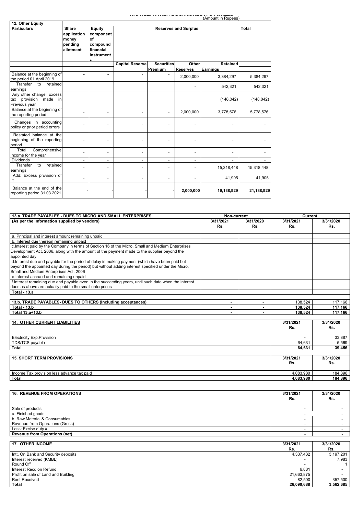**Mission Continues** (Amount in Rupees)

| 12. Other Equity                                                         |                                                              |                                                                  |                          |                                             |                          |                          |            |  |
|--------------------------------------------------------------------------|--------------------------------------------------------------|------------------------------------------------------------------|--------------------------|---------------------------------------------|--------------------------|--------------------------|------------|--|
| <b>Particulars</b>                                                       | <b>Share</b><br>application<br>money<br>pending<br>allotment | Equity<br>component<br>of<br>compound<br>financial<br>instrument |                          | <b>Total</b><br><b>Reserves and Surplus</b> |                          |                          |            |  |
|                                                                          |                                                              |                                                                  | <b>Capital Reserve</b>   | <b>Securities</b>                           | Other                    | Retained                 |            |  |
|                                                                          |                                                              |                                                                  |                          | Premium                                     | <b>Reserves</b>          | Earnings                 |            |  |
| Balance at the beginning of<br>the period 01 April 2019                  |                                                              | ä,                                                               | $\blacksquare$           |                                             | 2,000,000                | 3,384,297                | 5,384,297  |  |
| Transfer<br>retained<br>to<br>earnings                                   |                                                              |                                                                  |                          |                                             | $\overline{\phantom{0}}$ | 542,321                  | 542,321    |  |
| Any other change: Excess<br>provision made<br>tax<br>in<br>Previous year |                                                              |                                                                  |                          |                                             |                          | (148, 042)               | (148, 042) |  |
| Balance at the beginning of<br>the reporting period                      |                                                              | $\overline{\phantom{0}}$                                         | $\overline{a}$           |                                             | 2,000,000                | 3,778,576                | 5,778,576  |  |
| Changes in accounting<br>policy or prior period errors                   |                                                              |                                                                  |                          |                                             |                          |                          |            |  |
| Restated balance at the<br>beginning of the reporting<br>period          |                                                              | $\overline{a}$                                                   |                          |                                             | $\overline{\phantom{0}}$ |                          |            |  |
| Comprehensive<br>Total<br>Income for the year                            |                                                              | $\overline{a}$                                                   | $\overline{\phantom{a}}$ |                                             |                          | $\overline{\phantom{0}}$ |            |  |
| <b>Dividends</b>                                                         | $\overline{\phantom{0}}$                                     | $\overline{\phantom{a}}$                                         | $\overline{\phantom{a}}$ | $\overline{\phantom{a}}$                    | $\overline{\phantom{0}}$ |                          |            |  |
| Transfer<br>retained<br>to<br>earnings                                   |                                                              | $\overline{\phantom{0}}$                                         | $\overline{a}$           |                                             | $\overline{\phantom{0}}$ | 15,318,448               | 15,318,448 |  |
| Add: Excess provision of<br>ıτ                                           | $\overline{\phantom{0}}$                                     | $\overline{\phantom{0}}$                                         | $\overline{\phantom{0}}$ |                                             | $\overline{\phantom{0}}$ | 41,905                   | 41,905     |  |
| Balance at the end of the<br>reporting period 31.03.2021                 |                                                              |                                                                  |                          |                                             | 2,000,000                | 19,138,929               | 21,138,929 |  |

| 13.a. TRADE PAYABLES - DUES TO MICRO AND SMALL ENTERPRISES                                            | Non-current              |           | Current                  |           |
|-------------------------------------------------------------------------------------------------------|--------------------------|-----------|--------------------------|-----------|
| (As per the information supplied by vendors)                                                          | 3/31/2021                | 3/31/2020 | 3/31/2021                | 3/31/2020 |
|                                                                                                       | Rs.                      | Rs.       | Rs.                      | Rs.       |
| a. Principal and interest amount remaining unpaid                                                     |                          |           |                          |           |
| b. Interest due thereon remaining unpaid                                                              |                          |           |                          |           |
| c. Interest paid by the Company in terms of Section 16 of the Micro, Small and Medium Enterprises     |                          |           |                          |           |
| Development Act, 2006, along with the amount of the payment made to the supplier beyond the           |                          |           |                          |           |
| appointed day                                                                                         |                          |           |                          |           |
| d. Interest due and payable for the period of delay in making payment (which have been paid but       |                          |           |                          |           |
| beyond the appointed day during the period) but without adding interest specified under the Micro.    |                          |           |                          |           |
| Small and Medium Enterprises Act, 2006                                                                |                          |           |                          |           |
| e. Interest accrued and remaining unpaid                                                              |                          |           |                          |           |
| f. Interest remaining due and payable even in the succeeding years, until such date when the interest |                          |           |                          |           |
| dues as above are actually paid to the small enterprises                                              |                          |           |                          |           |
| <b>Total - 13.a</b>                                                                                   |                          |           |                          |           |
|                                                                                                       |                          |           |                          |           |
| 13.b. TRADE PAYABLES- DUES TO OTHERS (Including acceptances)                                          | $\overline{\phantom{a}}$ |           | 138.524                  | 117,166   |
| <b>Total - 13.b</b>                                                                                   |                          |           | 138.524                  | 117,166   |
| Total 13.a+13.b                                                                                       |                          |           | 138.524                  | 117.166   |
|                                                                                                       |                          |           |                          |           |
| <b>14. OTHER CURRENT LIABILITIES</b>                                                                  |                          |           | 3/31/2021                | 3/31/2020 |
|                                                                                                       |                          |           | Rs.                      | Rs.       |
| <b>Electricity Exp. Provision</b>                                                                     |                          |           | $\overline{\phantom{a}}$ | 33.887    |
| <b>TDS/TCS pavable</b>                                                                                |                          |           | 64.631                   | 5.569     |
| <b>Total</b>                                                                                          |                          |           | 64.631                   | 39.456    |
|                                                                                                       |                          |           |                          |           |
| <b>15. SHORT TERM PROVISIONS</b>                                                                      |                          |           | 3/31/2021                | 3/31/2020 |
|                                                                                                       |                          |           | Rs.                      | Rs.       |
|                                                                                                       |                          |           |                          |           |
| Income Tax provision less advance tax paid                                                            |                          |           | 4,083,980                | 184,896   |
| <b>Total</b>                                                                                          |                          |           | 4,083,980                | 184,896   |

| <b>16. REVENUE FROM OPERATIONS</b>   | 3/31/2021<br>Rs. | 3/31/2020<br>Rs. |
|--------------------------------------|------------------|------------------|
| Sale of products                     |                  |                  |
| a. Finished goods                    |                  |                  |
| b. Raw Material & Consumables        |                  |                  |
| Revenue from Operations (Gross)      |                  |                  |
| Less: Excise duty #                  |                  |                  |
| <b>Revenue from Operations (net)</b> |                  |                  |

| <b>17. OTHER INCOME</b>             | 3/31/2021  | 3/31/2020 |
|-------------------------------------|------------|-----------|
|                                     | Rs.        | Rs.       |
| Intt. On Bank and Security deposits | 4,337,432  | 3,197,201 |
| Interest received (KMBL)            | -          | 7,983     |
| Round Off                           | -          |           |
| Interest Recd on Refund             | 6,881      |           |
| Profit on sale of Land and Building | 21,663,875 |           |
| <b>Rent Received</b>                | 82.500     | 357,500   |
| Total                               | 26,090,688 | 3,562,685 |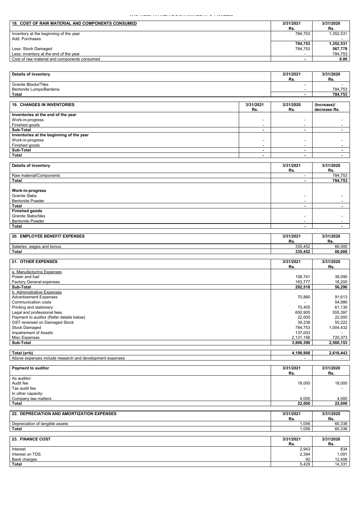| 18. COST OF RAW MATERIAL AND COMPONENTS CONSUMED | 3/31/2021<br>Rs. | 3/31/2020<br>Rs. |
|--------------------------------------------------|------------------|------------------|
| Inventory at the beginning of the year           | 784.753          | ,352,531         |
| Add: Purchases                                   |                  |                  |
|                                                  | 784.753          | 1,352,531        |
| Less: Stock Damaged                              | 784.753          | 567.778          |
| Less: inventory at the end of the year           |                  | 784,753          |
| Cost of raw material and components consumed     |                  | 0.00             |

| <b>Details of inventory</b>        |           | 3/31/2021<br>Rs.         | 3/31/2020<br>Rs. |
|------------------------------------|-----------|--------------------------|------------------|
| <b>Granite Blocks/Tiles</b>        |           | $\overline{\phantom{0}}$ |                  |
| Bentonite Lumps/Bardana            |           |                          | 784,753          |
| Total                              |           |                          | 784,753          |
|                                    |           |                          |                  |
| <b>19. CHANGES IN INVENTORIES</b>  | 3/31/2021 | 3/31/2020                | (Increase)/      |
|                                    | Rs.       | Rs.                      | decrease Rs.     |
| Inventories at the end of the year |           |                          |                  |
| Work-in-progress                   | -         | $\overline{\phantom{0}}$ |                  |
| Finished goods                     | -         | $\overline{\phantom{0}}$ |                  |
| Sub-Total                          | ۰         |                          |                  |

**Inventories at the beginning of the year**

| Finished goods              | $\overline{\phantom{a}}$ | $\overline{\phantom{0}}$ | $\overline{\phantom{a}}$ |
|-----------------------------|--------------------------|--------------------------|--------------------------|
| Sub-Total                   |                          | ۰                        |                          |
| Total                       |                          | ۰                        | $\overline{\phantom{a}}$ |
|                             |                          |                          |                          |
| <b>Details of inventory</b> |                          | 3/31/2021                | 3/31/2020                |
|                             |                          | Rs.                      | Rs.                      |
| Raw material/Components     |                          |                          | 784,753                  |
| Total                       |                          | -                        | 784,753                  |
|                             |                          |                          |                          |
| Work-in-progress            |                          |                          |                          |
| <b>Granite Slabs</b>        |                          | -                        |                          |
| <b>Bentonite Powder</b>     |                          | $\overline{\phantom{a}}$ | $\overline{\phantom{0}}$ |
| Total                       |                          | ۰                        | ۰.                       |
| <b>Finished goods</b>       |                          |                          |                          |
| <b>Granite Slabs/tiles</b>  |                          | -                        |                          |
| <b>Bentonite Powder</b>     |                          | -                        | $\overline{\phantom{0}}$ |
| Total                       |                          |                          | $\overline{\phantom{a}}$ |

Work-in-progress - - -

| . EMPLOYEE BENEFIT EXPENSES<br>20. | 3/31/2021<br>в.<br>ĸs. | 3/31/2020<br>Rs. |
|------------------------------------|------------------------|------------------|
| Salaries.<br>. wages and bonus     | 335,452                | 66,000           |
| Total                              | 335.452                | 66.000           |

| 21. OTHER EXPENSES                       | 3/31/2021 | 3/31/2020 |
|------------------------------------------|-----------|-----------|
|                                          | Rs.       | Rs.       |
| a. Manufacturing Expenses                |           |           |
| Power and fuel                           | 108.741   | 38,090    |
| <b>Factory General expenses</b>          | 183,777   | 18,200    |
| Sub-Total                                | 292,518   | 56,290    |
| b. Administrative Expenses               |           |           |
| <b>Advertisement Expenses</b>            | 70,880    | 91,613    |
| Communication costs                      |           | 54,986    |
| Printing and stationery                  | 70.455    | 61,130    |
| Legal and professional fees              | 650,905   | 555,397   |
| Payment to auditor (Refer details below) | 22,000    | 22,000    |
| GST reversed on Damaged Stock            | 39,238    | 50,222    |
| <b>Stock Damaged</b>                     | 784,753   | 1,004,432 |
| <b>Impairement of Assets</b>             | 137.003   |           |
| Misc Expenses                            | 2,131,156 | 720,373   |
| Sub-Total                                | 3,906,390 | 2,560,153 |
|                                          |           |           |

| Total (a+b)                                              | 4,198,908 | 2,616,443 |
|----------------------------------------------------------|-----------|-----------|
| Above expenses include research and development expenses |           |           |
| <b>Payment to auditor</b>                                | 3/31/2021 | 3/31/2020 |
|                                                          | Rs.       | Rs.       |
| As auditor:                                              |           |           |
| Audit fee                                                | 18,000    | 18,000    |
| Tax audit fee                                            |           |           |
| In other capacity:                                       |           |           |
| Company law matters                                      | 4.000     | 4,000     |
| Total                                                    | 22.000    | 22,000    |
|                                                          |           |           |
| 22. DEPRECIATION AND AMORTIZATION EXPENSES               | 3/31/2021 | 3/31/2020 |

| <b>22. DEFREGIATION AND AMORTIZATION EXPENSES</b> | 33120ZT   | 313 114949 |
|---------------------------------------------------|-----------|------------|
|                                                   | Rs.       | Rs.        |
| Depreciation of tangible assets                   | 1,056     | 60,338     |
| <b>Total</b>                                      | 1,056     | 60,338     |
|                                                   |           |            |
| <b>23. FINANCE COST</b>                           | 3/31/2021 | 3/31/2020  |
|                                                   | Rs.       | Rs.        |
| Interest                                          | 2,943     | 834        |
| Interest on TDS                                   | 2,394     | 1,091      |
| Bank charges                                      | 92        | 12,406     |
| Total                                             | 5,429     | 14,331     |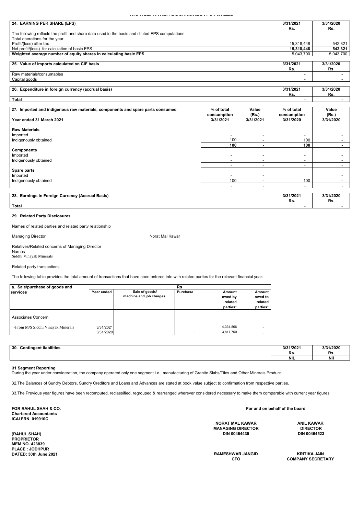| 24. EARNING PER SHARE (EPS)                                                                      |                          |           | 3/31/2021<br>Rs. | 3/31/2020<br>Rs. |
|--------------------------------------------------------------------------------------------------|--------------------------|-----------|------------------|------------------|
| The following reflects the profit and share data used in the basic and diluted EPS computations: |                          |           |                  |                  |
| Total operations for the year                                                                    |                          |           |                  |                  |
| Profit/(loss) after tax                                                                          |                          |           | 15,318,448       | 542,321          |
| Net profit/(loss) for calculation of basic EPS                                                   |                          |           | 15,318,448       | 542.321          |
| Weighted average number of equity shares in calculating basic EPS                                |                          |           | 5,043,700        | 5,043,700        |
|                                                                                                  |                          |           |                  |                  |
| 25. Value of imports calculated on CIF basis                                                     |                          |           | 3/31/2021        | 3/31/2020        |
|                                                                                                  |                          |           | Rs.              | Rs.              |
| Raw materials/consumables                                                                        |                          |           |                  |                  |
| Capital goods                                                                                    |                          |           |                  |                  |
|                                                                                                  |                          |           |                  |                  |
| 26. Expenditure in foreign currency (accrual basis)                                              |                          |           | 3/31/2021        | 3/31/2020        |
|                                                                                                  |                          |           | Rs.              | Rs.              |
| Total                                                                                            |                          |           |                  |                  |
|                                                                                                  |                          |           |                  |                  |
| 27. Imported and indigenous raw materials, components and spare parts consumed                   | % of total               | Value     | % of total       | Value            |
|                                                                                                  | consumption              | (Rs.)     | consumption      | (Rs.)            |
| Year ended 31 March 2021                                                                         | 3/31/2021                | 3/31/2021 | 3/31/2020        | 3/31/2020        |
|                                                                                                  |                          |           |                  |                  |
| <b>Raw Materials</b>                                                                             |                          |           |                  |                  |
| Imported                                                                                         |                          |           |                  |                  |
| Indigenously obtained                                                                            | 100                      |           | 100              |                  |
|                                                                                                  | 100                      |           | 100              |                  |
| <b>Components</b>                                                                                |                          |           |                  |                  |
| Imported                                                                                         |                          |           |                  |                  |
| Indigenously obtained                                                                            |                          |           |                  |                  |
|                                                                                                  | $\overline{\phantom{a}}$ |           |                  |                  |
| Spare parts                                                                                      |                          |           |                  |                  |
| Imported                                                                                         | $\overline{\phantom{a}}$ |           |                  |                  |
| Indigenously obtained                                                                            | 100                      |           | 100              |                  |
|                                                                                                  |                          |           |                  |                  |
|                                                                                                  |                          |           |                  |                  |
|                                                                                                  |                          |           |                  |                  |

| 28.<br>$-$<br>າ Currencv (Accrual Basis)<br>Foreian<br>ın<br>∟arninɑs '<br>. . | 3/31/2021 | 3/31/2020 |
|--------------------------------------------------------------------------------|-----------|-----------|
|                                                                                | --<br>к,  | в.<br>5ס  |
| Total                                                                          |           |           |

#### **29. Related Party Disclosures**

Names of related parties and related party relationship

Managing Director Norat Mal Kawar

Relatives/Related concerns of Managing Director Names Siddhi Vinayak Minerals

Related party transactions

The following table provides the total amount of transactions that have been entered into with related parties for the relevant financial year:

#### **a. Sale/purchase of goods and**

| a. Sale/purchase of goods and     | Rs         |                         |                          |           |                          |
|-----------------------------------|------------|-------------------------|--------------------------|-----------|--------------------------|
| services                          | Year ended | Sale of goods/          | Purchase                 | Amount    | Amount                   |
|                                   |            | machine and job charges |                          | owed by   | owed to                  |
|                                   |            |                         |                          | related   | related                  |
|                                   |            |                         |                          | parties*  | parties*                 |
| Associates Concern                |            |                         |                          |           |                          |
| -From M/S Siddhi Vinayak Minerals | 3/31/2021  |                         | $\overline{\phantom{a}}$ | 4,334,866 | $\overline{\phantom{0}}$ |
|                                   | 3/31/2020  |                         | $\overline{\phantom{a}}$ | 3,817,750 |                          |

| <b>Contingent liabilities</b><br>30 | 3/31/2021  | 3/31/2020 |
|-------------------------------------|------------|-----------|
|                                     | к»         | -<br>к.   |
|                                     | <b>NIL</b> | Nil       |

#### **31 Segment Reporting**

During the year under consideration, the company operated only one segment i.e., manufacturing of Granite Slabs/Tiles and Other Minerals Product.

32.The Balances of Sundry Debtors, Sundry Creditors and Loans and Advances are stated at book value subject to confirmation from respective parties.

33.The Previous year figures have been recomputed, reclassified, regrouped & rearranged wherever considered necessary to make them comparable with current year figures

 **ICAI FRN 019910C FOR RAHUL SHAH & CO. Chartered Accountants** 

 **DATED: 30th June 2021 (RAHUL SHAH) DIN 00464435 PROPRIETOR MEM NO. 423839 PLACE : JODHPUR** 

 **For and on behalf of the board** 

**NORAT MAL KAWAR MANAGING DIRECTOR**  **ANIL KAWAR DIRECTOR DIN 00464523**

**RAMESHWAR JANGID CFO**

**KRITIKA JAIN COMPANY SECRETARY**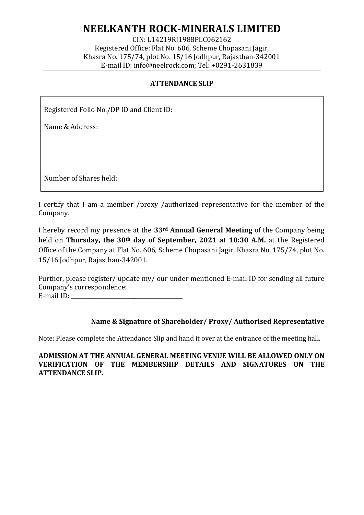# **NEELKANTH ROCK-MINERALS LIMITED**

CIN: L14219RJ1988PLC062162 Registered Office: Flat No. 606, Scheme Chopasani Jagir, Khasra No. 175/74, plot No. 15/16 Jodhpur, Rajasthan-342001 E-mail ID: info@neelrock.com; Tel: +0291-2631839

#### **ATTENDANCE SLIP**

Registered Folio No./DP ID and Client ID:

Name & Address:

Number of Shares held:

I certify that I am a member /proxy /authorized representative for the member of the Company.

I hereby record my presence at the **33rd Annual General Meeting** of the Company being held on **Thursday, the 30th day of September, 2021 at 10:30 A.M.** at the Registered Office of the Company at Flat No. 606, Scheme Chopasani Jagir, Khasra No. 175/74, plot No. 15/16 Jodhpur, Rajasthan-342001.

Further, please register/ update my/ our under mentioned E-mail ID for sending all future Company's correspondence: E-mail ID:

#### **Name & Signature of Shareholder/ Proxy/ Authorised Representative**

Note: Please complete the Attendance Slip and hand it over at the entrance of the meeting hall.

**ADMISSION AT THE ANNUAL GENERAL MEETING VENUE WILL BE ALLOWED ONLY ON VERIFICATION OF THE MEMBERSHIP DETAILS AND SIGNATURES ON THE ATTENDANCE SLIP.**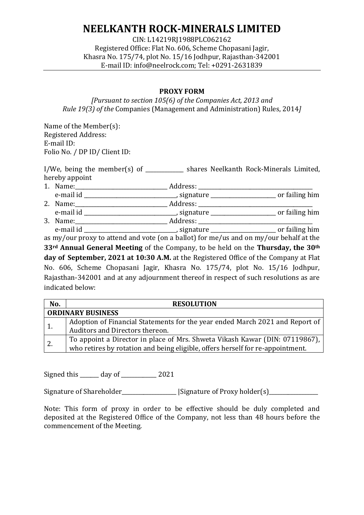# **NEELKANTH ROCK-MINERALS LIMITED**

CIN: L14219RJ1988PLC062162 Registered Office: Flat No. 606, Scheme Chopasani Jagir, Khasra No. 175/74, plot No. 15/16 Jodhpur, Rajasthan-342001 E-mail ID: info@neelrock.com; Tel: +0291-2631839

#### **PROXY FORM**

*[Pursuant to section 105(6) of the Companies Act, 2013 and Rule 19(3) of the* Companies (Management and Administration) Rules, 2014*]* 

Name of the Member(s): Registered Address: E-mail ID: Folio No. / DP ID/ Client ID:

I/We, being the member(s) of \_\_\_\_\_\_\_\_\_\_\_\_\_\_ shares Neelkanth Rock-Minerals Limited, hereby appoint

- 1. Name:\_\_\_\_\_\_\_\_\_\_\_\_\_\_\_\_\_\_\_\_\_\_\_\_\_\_\_\_\_\_\_\_\_\_ Address: \_\_\_\_\_\_\_\_\_\_\_\_\_\_\_\_\_\_\_\_\_\_\_\_\_\_\_\_\_\_\_\_\_\_\_\_\_\_\_\_\_\_ e-mail id \_\_\_\_\_\_\_\_\_\_\_\_\_\_\_\_\_\_\_\_\_\_\_\_\_\_\_\_\_\_\_\_\_\_, signature \_\_\_\_\_\_\_\_\_\_\_\_\_\_\_\_\_\_\_\_\_\_\_\_ or failing him 2. Name:\_\_\_\_\_\_\_\_\_\_\_\_\_\_\_\_\_\_\_\_\_\_\_\_\_\_\_\_\_\_\_\_\_\_ Address: \_\_\_\_\_\_\_\_\_\_\_\_\_\_\_\_\_\_\_\_\_\_\_\_\_\_\_\_\_\_\_\_\_\_\_\_\_\_\_\_\_\_
- e-mail id \_\_\_\_\_\_\_\_\_\_\_\_\_\_\_\_\_\_\_\_\_\_\_\_\_\_\_\_\_\_\_\_, signature \_\_\_\_\_\_\_\_\_\_\_\_\_\_\_\_\_\_\_\_\_\_\_\_\_\_\_ or failing him 3. Name:\_\_\_\_\_\_\_\_\_\_\_\_\_\_\_\_\_\_\_\_\_\_\_\_\_\_\_\_\_\_\_\_\_\_ Address: \_\_\_\_\_\_\_\_\_\_\_\_\_\_\_\_\_\_\_\_\_\_\_\_\_\_\_\_\_\_\_\_\_\_\_\_\_\_\_\_\_\_
- e-mail id \_\_\_\_\_\_\_\_\_\_\_\_\_\_\_\_\_\_\_\_\_\_\_\_\_\_\_\_\_\_\_\_, signature \_\_\_\_\_\_\_\_\_\_\_\_\_\_\_\_\_\_\_\_\_\_\_\_\_\_\_ or failing him as my/our proxy to attend and vote (on a ballot) for me/us and on my/our behalf at the

**33rd Annual General Meeting** of the Company, to be held on the **Thursday, the 30th day of September, 2021 at 10:30 A.M.** at the Registered Office of the Company at Flat No. 606, Scheme Chopasani Jagir, Khasra No. 175/74, plot No. 15/16 Jodhpur, Rajasthan-342001 and at any adjournment thereof in respect of such resolutions as are indicated below:

| No.                      | <b>RESOLUTION</b>                                                                                                                                             |
|--------------------------|---------------------------------------------------------------------------------------------------------------------------------------------------------------|
| <b>ORDINARY BUSINESS</b> |                                                                                                                                                               |
| 1.                       | Adoption of Financial Statements for the year ended March 2021 and Report of<br>Auditors and Directors thereon.                                               |
| 2.                       | To appoint a Director in place of Mrs. Shweta Vikash Kawar (DIN: 07119867),<br>who retires by rotation and being eligible, offers herself for re-appointment. |

Signed this \_\_\_\_\_\_\_ day of \_\_\_\_\_\_\_\_\_\_\_\_ 2021

Signature of Shareholder\_\_\_\_\_\_\_\_\_\_\_\_\_\_\_\_\_\_ |Signature of Proxy holder(s)\_\_\_\_\_\_\_\_\_\_\_\_\_\_

Note: This form of proxy in order to be effective should be duly completed and deposited at the Registered Office of the Company, not less than 48 hours before the commencement of the Meeting.